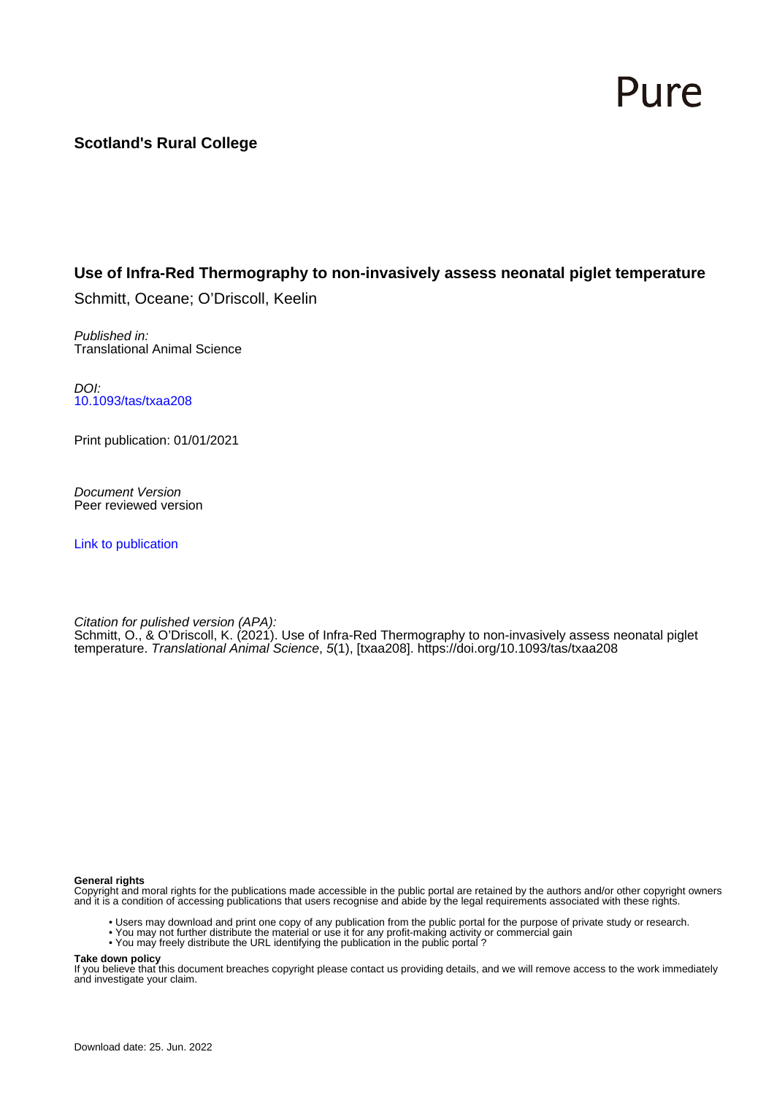# Pure

# **Scotland's Rural College**

### **Use of Infra-Red Thermography to non-invasively assess neonatal piglet temperature**

Schmitt, Oceane; O'Driscoll, Keelin

Published in: Translational Animal Science

DOI: [10.1093/tas/txaa208](https://doi.org/10.1093/tas/txaa208)

Print publication: 01/01/2021

Document Version Peer reviewed version

[Link to publication](https://pure.sruc.ac.uk/en/publications/b9a9a5bd-72f1-4f45-8fcd-8ba4d9202021)

Citation for pulished version (APA): Schmitt, O., & O'Driscoll, K. (2021). Use of Infra-Red Thermography to non-invasively assess neonatal piglet temperature. Translational Animal Science, 5(1), [txaa208]. <https://doi.org/10.1093/tas/txaa208>

#### **General rights**

Copyright and moral rights for the publications made accessible in the public portal are retained by the authors and/or other copyright owners and it is a condition of accessing publications that users recognise and abide by the legal requirements associated with these rights.

- Users may download and print one copy of any publication from the public portal for the purpose of private study or research.
- You may not further distribute the material or use it for any profit-making activity or commercial gain
- You may freely distribute the URL identifying the publication in the public portal ?

#### **Take down policy**

If you believe that this document breaches copyright please contact us providing details, and we will remove access to the work immediately and investigate your claim.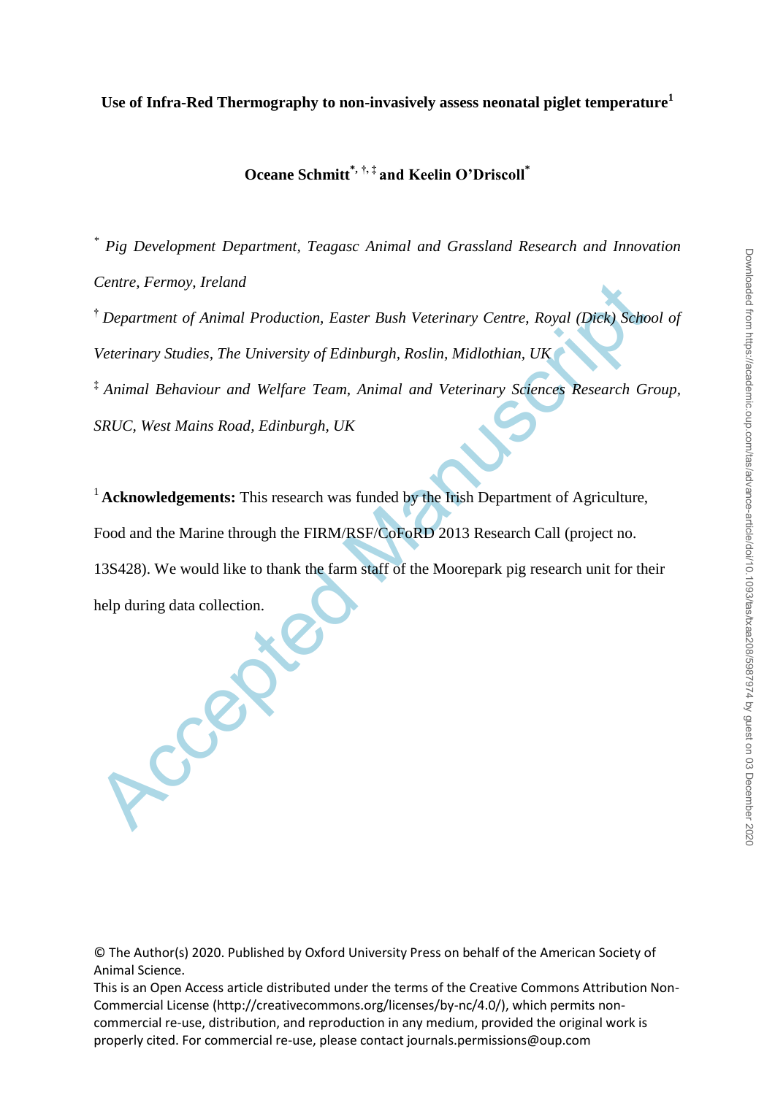# **Oceane Schmitt\*, †, ‡ and Keelin O'Driscoll\***

*\* Pig Development Department, Teagasc Animal and Grassland Research and Innovation Centre, Fermoy, Ireland*

**†** *Department of Animal Production, Easter Bush Veterinary Centre, Royal (Dick) School of Veterinary Studies, The University of Edinburgh, Roslin, Midlothian, UK* **‡** *Animal Behaviour and Welfare Team, Animal and Veterinary Sciences Research Group,* 

*SRUC, West Mains Road, Edinburgh, UK*

Centre, Fermoy, Ireland<br>
<sup>†</sup> Department of Animal Production, Easter Bush Veterinary Centre, Royal (Dick) Schove<br>
Veterinary Studies, The University of Edinburgh, Roslin, Midlothian, UK<br>
<sup>†</sup> Animal Behaviour and Welfare Te <sup>1</sup> Acknowledgements: This research was funded by the Irish Department of Agriculture, Food and the Marine through the FIRM/RSF/CoFoRD 2013 Research Call (project no. 13S428). We would like to thank the farm staff of the Moorepark pig research unit for their help during data collection.

© The Author(s) 2020. Published by Oxford University Press on behalf of the American Society of Animal Science.

This is an Open Access article distributed under the terms of the Creative Commons Attribution Non-Commercial License (http://creativecommons.org/licenses/by-nc/4.0/), which permits noncommercial re-use, distribution, and reproduction in any medium, provided the original work is properly cited. For commercial re-use, please contact journals.permissions@oup.com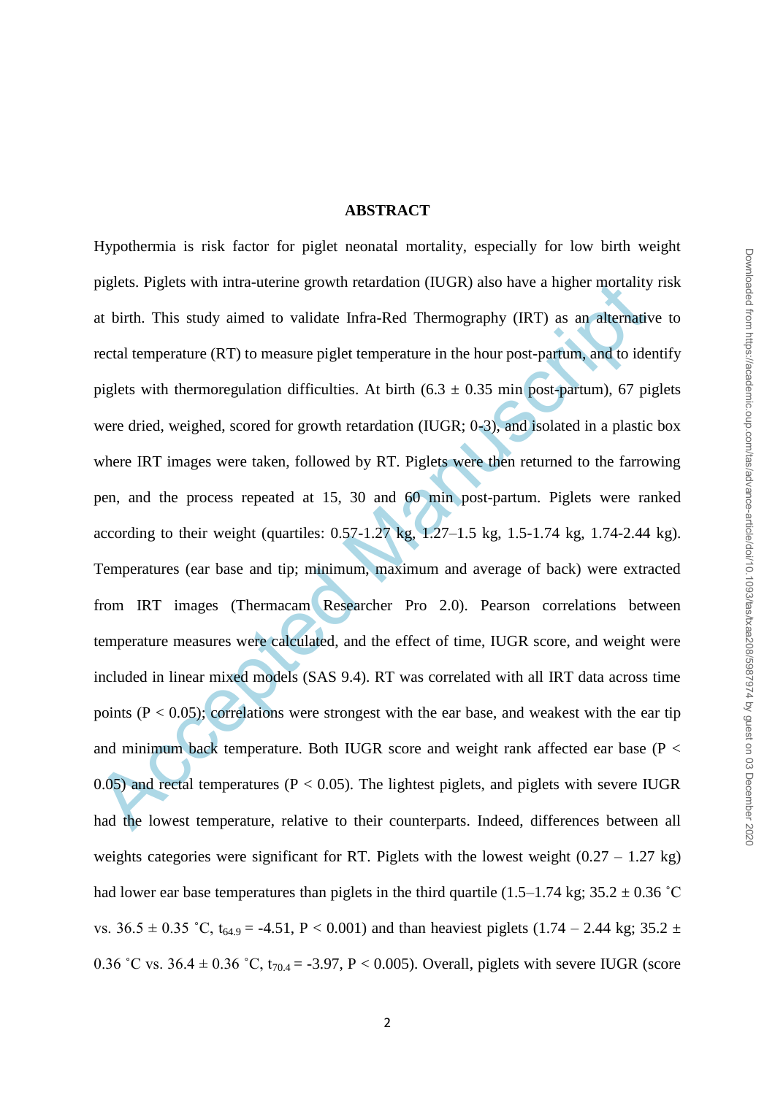# **ABSTRACT**

piglets. Piglets with intra-uterine growth retardation (IUGR) also have a higher mortality<br>at birth. This study aimed to validate Infra-Red Thermography (IRT) as an alternativ<br>rectal temperature (RT) to measure piglet tem Hypothermia is risk factor for piglet neonatal mortality, especially for low birth weight piglets. Piglets with intra-uterine growth retardation (IUGR) also have a higher mortality risk at birth. This study aimed to validate Infra-Red Thermography (IRT) as an alternative to rectal temperature (RT) to measure piglet temperature in the hour post-partum, and to identify piglets with thermoregulation difficulties. At birth  $(6.3 \pm 0.35 \text{ min} \text{ post-partum})$ , 67 piglets were dried, weighed, scored for growth retardation (IUGR; 0-3), and isolated in a plastic box where IRT images were taken, followed by RT. Piglets were then returned to the farrowing pen, and the process repeated at 15, 30 and 60 min post-partum. Piglets were ranked according to their weight (quartiles: 0.57-1.27 kg, 1.27–1.5 kg, 1.5-1.74 kg, 1.74-2.44 kg). Temperatures (ear base and tip; minimum, maximum and average of back) were extracted from IRT images (Thermacam Researcher Pro 2.0). Pearson correlations between temperature measures were calculated, and the effect of time, IUGR score, and weight were included in linear mixed models (SAS 9.4). RT was correlated with all IRT data across time points  $(P < 0.05)$ ; correlations were strongest with the ear base, and weakest with the ear tip and minimum back temperature. Both IUGR score and weight rank affected ear base (P < 0.05) and rectal temperatures ( $P < 0.05$ ). The lightest piglets, and piglets with severe IUGR had the lowest temperature, relative to their counterparts. Indeed, differences between all weights categories were significant for RT. Piglets with the lowest weight  $(0.27 - 1.27 \text{ kg})$ had lower ear base temperatures than piglets in the third quartile (1.5–1.74 kg;  $35.2 \pm 0.36$  °C vs.  $36.5 \pm 0.35$  °C,  $t_{64.9} = -4.51$ , P < 0.001) and than heaviest piglets (1.74 – 2.44 kg; 35.2  $\pm$ 0.36 °C vs. 36.4  $\pm$  0.36 °C, t<sub>70.4</sub> = -3.97, P < 0.005). Overall, piglets with severe IUGR (score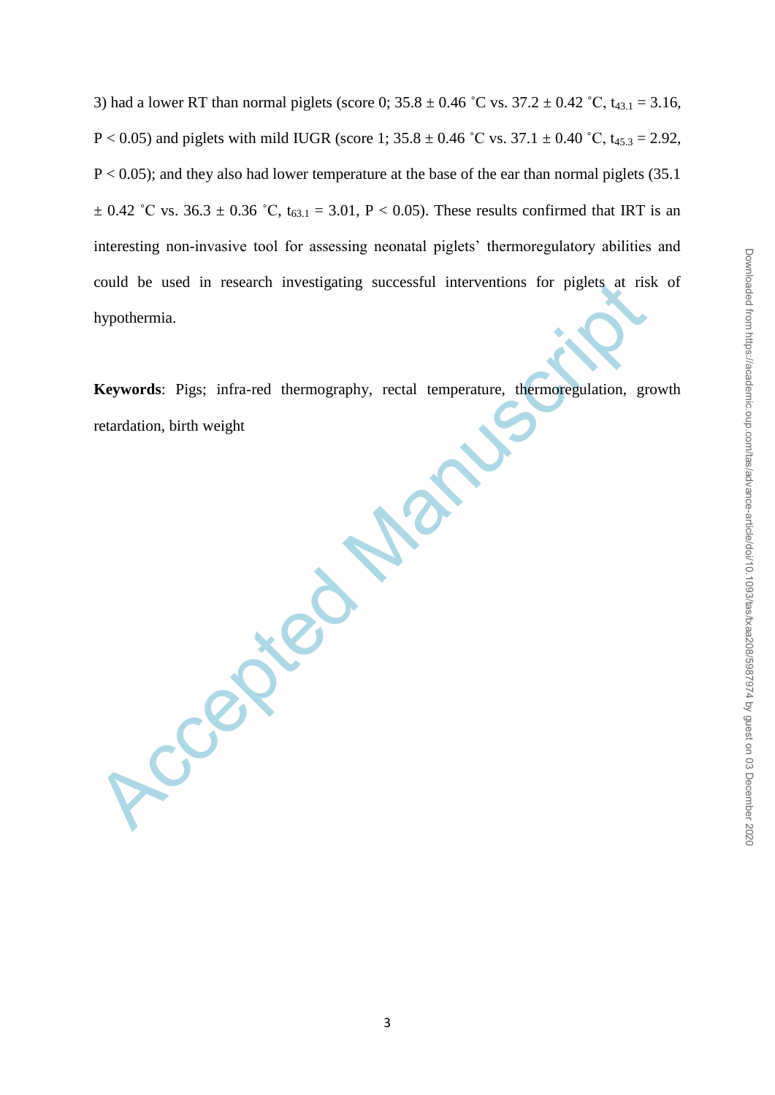3) had a lower RT than normal piglets (score 0;  $35.8 \pm 0.46$  °C vs.  $37.2 \pm 0.42$  °C,  $t_{43.1} = 3.16$ , P < 0.05) and piglets with mild IUGR (score 1;  $35.8 \pm 0.46$  °C vs.  $37.1 \pm 0.40$  °C,  $t_{45.3} = 2.92$ ,  $P < 0.05$ ); and they also had lower temperature at the base of the ear than normal piglets (35.1)  $\pm$  0.42 °C vs. 36.3  $\pm$  0.36 °C, t<sub>63.1</sub> = 3.01, P < 0.05). These results confirmed that IRT is an interesting non-invasive tool for assessing neonatal piglets' thermoregulatory abilities and could be used in research investigating successful interventions for piglets at risk of hypothermia.

**Keywords**: Pigs; infra-red thermography, rectal temperature, thermoregulation, growth retardation, birth weight

Accepted Manuscript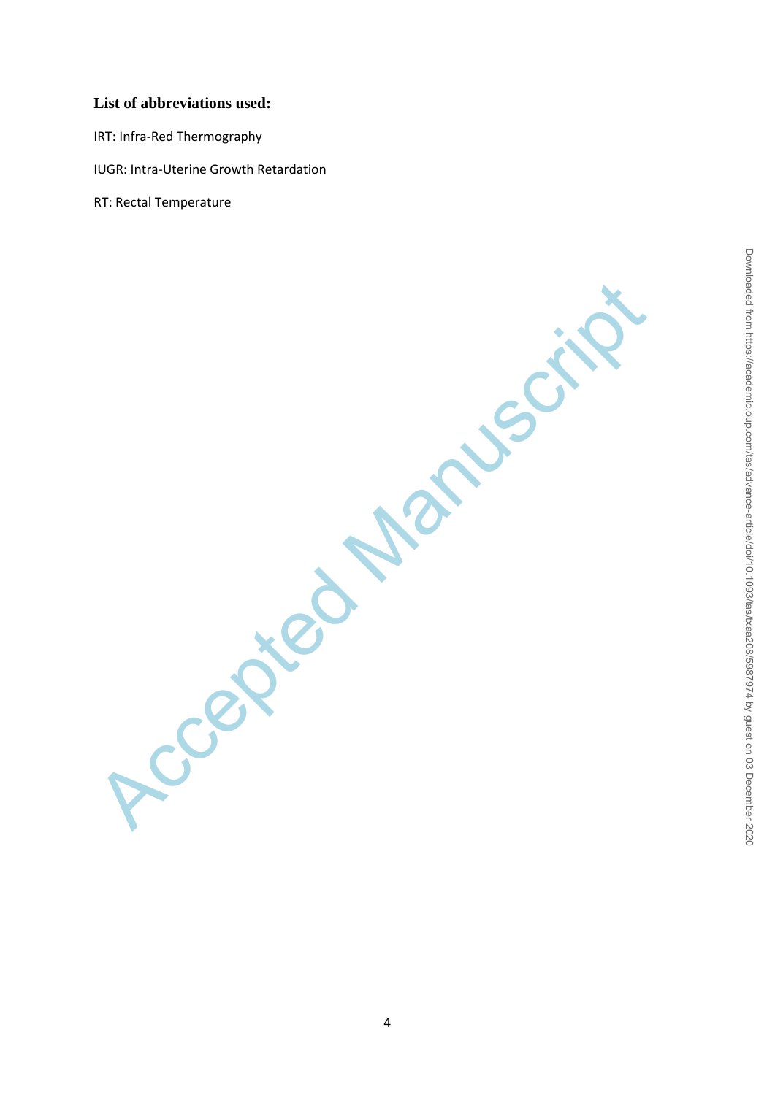# **List of abbreviations used:**

IRT: Infra-Red Thermography

IUGR: Intra-Uterine Growth Retardation

RT: Rectal Temperature

**Accepted Manuscript**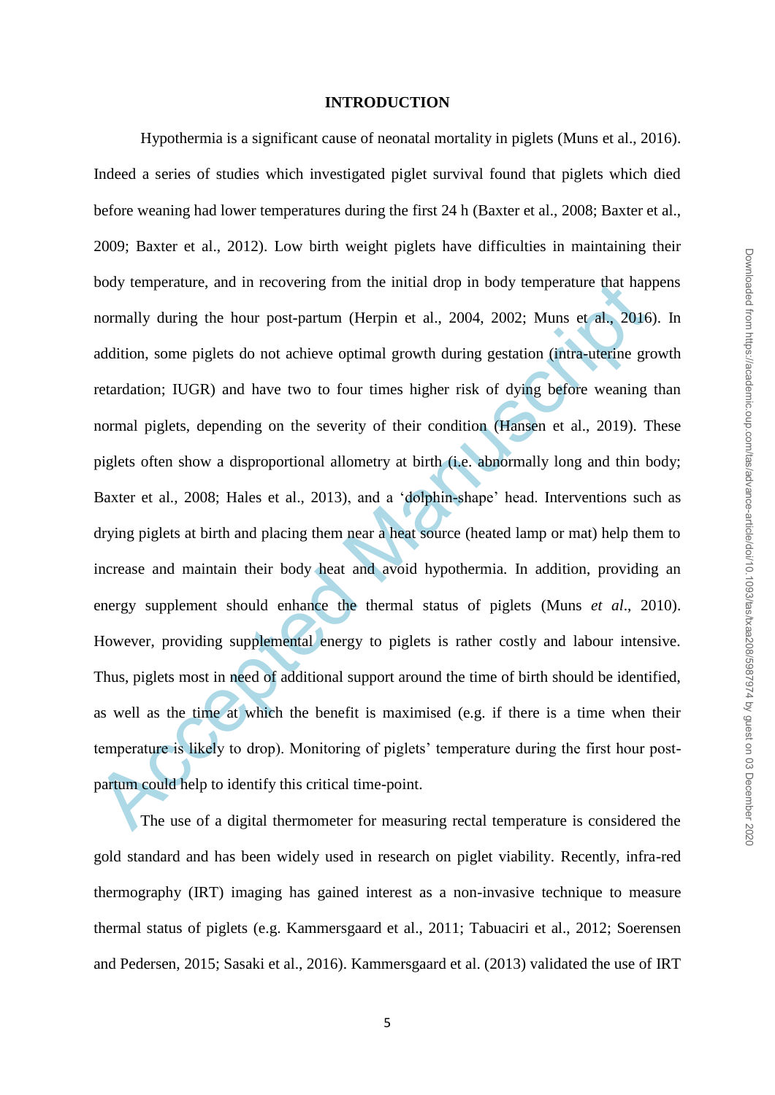# Downloaded from https://academic.oup.com/tas/advance-article/doi/10.1093/tasd208/5987974 by guest on 03 December 2020 Downloaded from https://academic.oup.com/tas/advance-article/doi/10.1093/tas/txaa208/5987974 by guest on 03 December 2020

#### **INTRODUCTION**

body temperature, and in recovering from the initial drop in body temperature that hap<br>normally during the hour post-partum (Herpin et al., 2004, 2002; Muns et al., 2016<br>addition, some piglets do not achieve optimal growth Hypothermia is a significant cause of neonatal mortality in piglets (Muns et al., 2016). Indeed a series of studies which investigated piglet survival found that piglets which died before weaning had lower temperatures during the first 24 h (Baxter et al., 2008; Baxter et al., 2009; Baxter et al., 2012). Low birth weight piglets have difficulties in maintaining their body temperature, and in recovering from the initial drop in body temperature that happens normally during the hour post-partum (Herpin et al., 2004, 2002; Muns et al., 2016). In addition, some piglets do not achieve optimal growth during gestation (intra-uterine growth retardation; IUGR) and have two to four times higher risk of dying before weaning than normal piglets, depending on the severity of their condition (Hansen et al., 2019). These piglets often show a disproportional allometry at birth (i.e. abnormally long and thin body; Baxter et al., 2008; Hales et al., 2013), and a 'dolphin-shape' head. Interventions such as drying piglets at birth and placing them near a heat source (heated lamp or mat) help them to increase and maintain their body heat and avoid hypothermia. In addition, providing an energy supplement should enhance the thermal status of piglets (Muns *et al*., 2010). However, providing supplemental energy to piglets is rather costly and labour intensive. Thus, piglets most in need of additional support around the time of birth should be identified, as well as the time at which the benefit is maximised (e.g. if there is a time when their temperature is likely to drop). Monitoring of piglets" temperature during the first hour postpartum could help to identify this critical time-point.

The use of a digital thermometer for measuring rectal temperature is considered the gold standard and has been widely used in research on piglet viability. Recently, infra-red thermography (IRT) imaging has gained interest as a non-invasive technique to measure thermal status of piglets (e.g. Kammersgaard et al., 2011; Tabuaciri et al., 2012; Soerensen and Pedersen, 2015; Sasaki et al., 2016). Kammersgaard et al. (2013) validated the use of IRT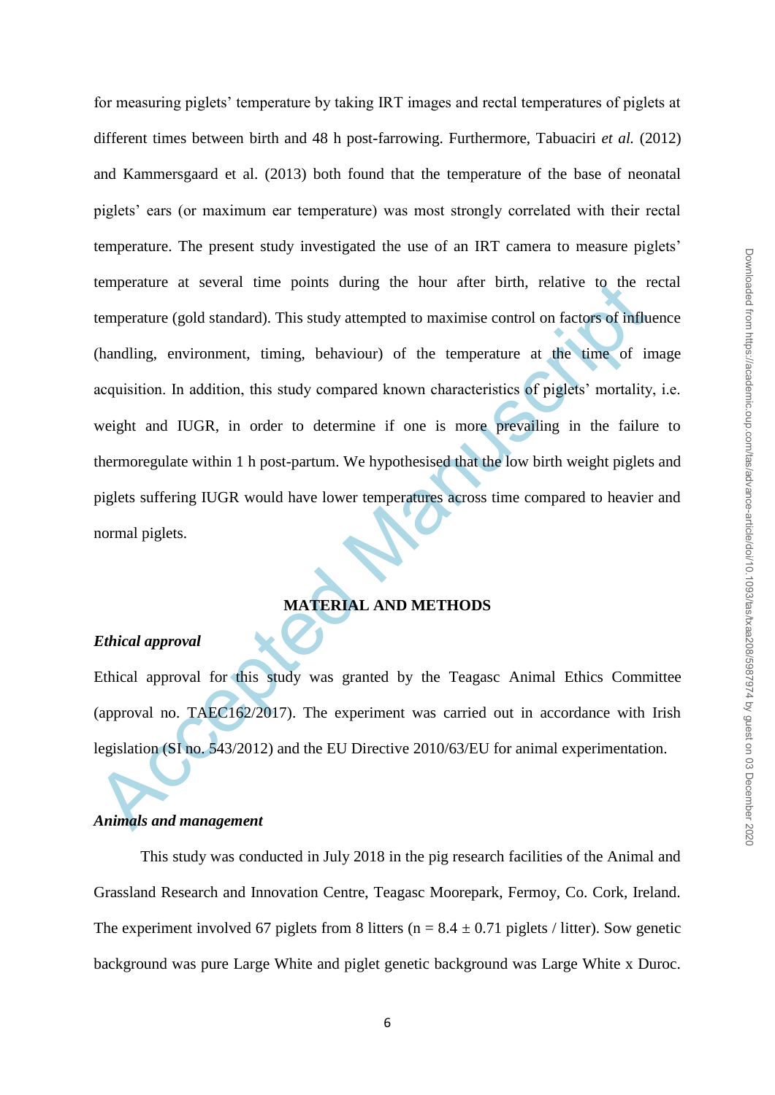temperature at several time points during the hour after birth, relative to the retemperature (gold standard). This study attempted to maximise control on factors of influ<br>(handling, environment, timing, behaviour) of the for measuring piglets" temperature by taking IRT images and rectal temperatures of piglets at different times between birth and 48 h post-farrowing. Furthermore, Tabuaciri *et al.* (2012) and Kammersgaard et al. (2013) both found that the temperature of the base of neonatal piglets" ears (or maximum ear temperature) was most strongly correlated with their rectal temperature. The present study investigated the use of an IRT camera to measure piglets" temperature at several time points during the hour after birth, relative to the rectal temperature (gold standard). This study attempted to maximise control on factors of influence (handling, environment, timing, behaviour) of the temperature at the time of image acquisition. In addition, this study compared known characteristics of piglets' mortality, i.e. weight and IUGR, in order to determine if one is more prevailing in the failure to thermoregulate within 1 h post-partum. We hypothesised that the low birth weight piglets and piglets suffering IUGR would have lower temperatures across time compared to heavier and normal piglets.

# **MATERIAL AND METHODS**

#### *Ethical approval*

Ethical approval for this study was granted by the Teagasc Animal Ethics Committee (approval no. TAEC162/2017). The experiment was carried out in accordance with Irish legislation (SI no. 543/2012) and the EU Directive 2010/63/EU for animal experimentation.

#### *Animals and management*

This study was conducted in July 2018 in the pig research facilities of the Animal and Grassland Research and Innovation Centre, Teagasc Moorepark, Fermoy, Co. Cork, Ireland. The experiment involved 67 piglets from 8 litters ( $n = 8.4 \pm 0.71$  piglets / litter). Sow genetic background was pure Large White and piglet genetic background was Large White x Duroc.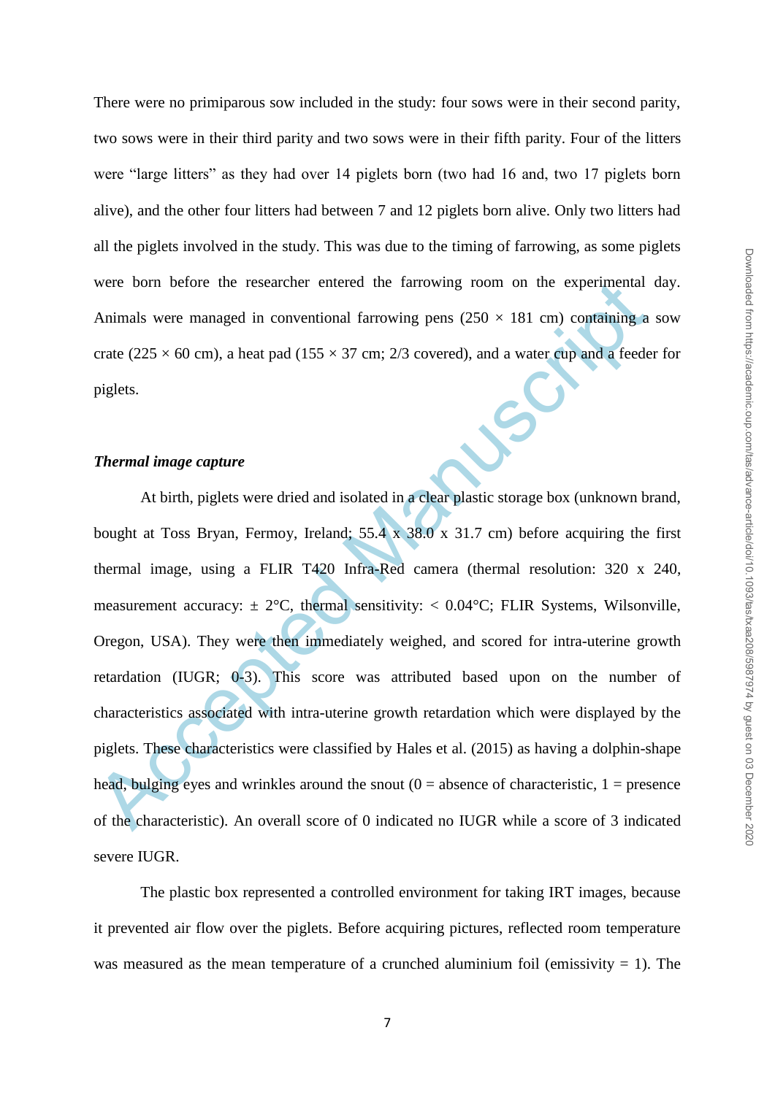There were no primiparous sow included in the study: four sows were in their second parity, two sows were in their third parity and two sows were in their fifth parity. Four of the litters were "large litters" as they had over 14 piglets born (two had 16 and, two 17 piglets born alive), and the other four litters had between 7 and 12 piglets born alive. Only two litters had all the piglets involved in the study. This was due to the timing of farrowing, as some piglets were born before the researcher entered the farrowing room on the experimental day. Animals were managed in conventional farrowing pens  $(250 \times 181 \text{ cm})$  containing a sow crate (225  $\times$  60 cm), a heat pad (155  $\times$  37 cm; 2/3 covered), and a water cup and a feeder for piglets.

### *Thermal image capture*

were born before the researcher entered the farrowing room on the experimental<br>Animals were managed in conventional farrowing pens  $(250 \times 181 \text{ cm})$  confaining a<br>crate  $(225 \times 60 \text{ cm})$ , a heat pad  $(155 \times 37 \text{ cm}; 2/3 \text{ covered})$ At birth, piglets were dried and isolated in a clear plastic storage box (unknown brand, bought at Toss Bryan, Fermoy, Ireland; 55.4 x 38.0 x 31.7 cm) before acquiring the first thermal image, using a FLIR T420 Infra-Red camera (thermal resolution: 320 x 240, measurement accuracy:  $\pm 2^{\circ}C$ , thermal sensitivity:  $\lt 0.04^{\circ}C$ ; FLIR Systems, Wilsonville, Oregon, USA). They were then immediately weighed, and scored for intra-uterine growth retardation (IUGR; 0-3). This score was attributed based upon on the number of characteristics associated with intra-uterine growth retardation which were displayed by the piglets. These characteristics were classified by Hales et al. (2015) as having a dolphin-shape head, bulging eyes and wrinkles around the snout  $(0 = \text{absence of characteristic}, 1 = \text{presence})$ of the characteristic). An overall score of 0 indicated no IUGR while a score of 3 indicated severe IUGR.

The plastic box represented a controlled environment for taking IRT images, because it prevented air flow over the piglets. Before acquiring pictures, reflected room temperature was measured as the mean temperature of a crunched aluminium foil (emissivity  $= 1$ ). The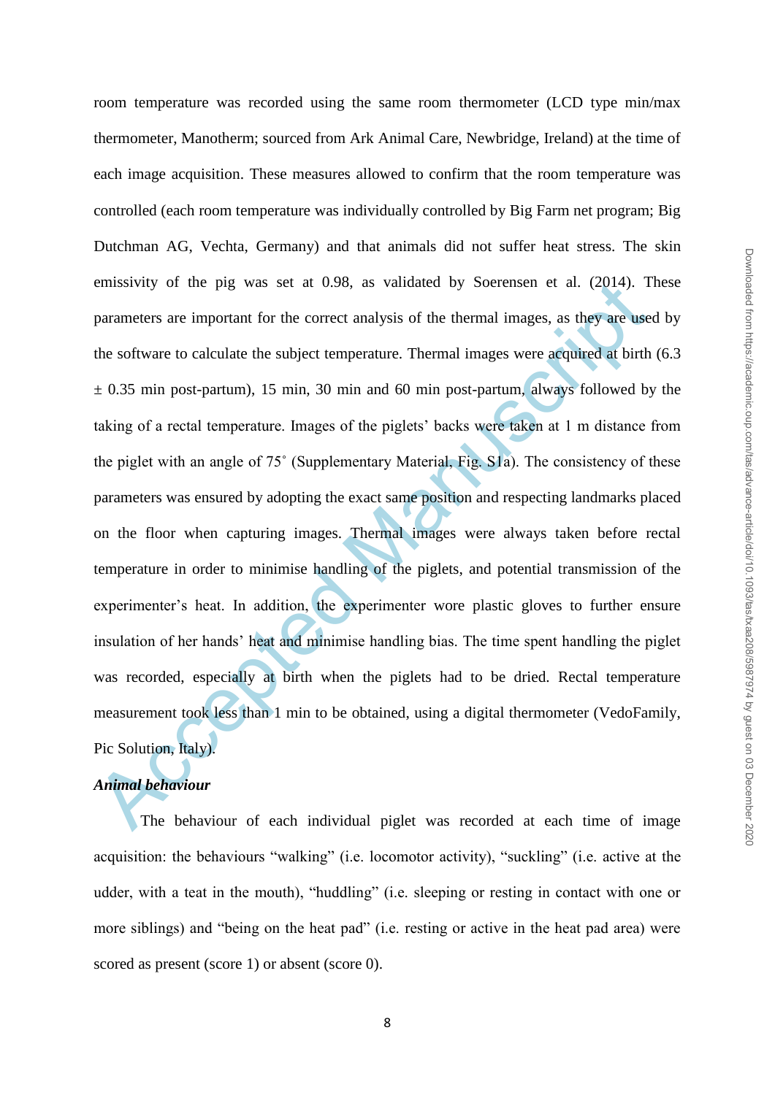emissivity of the pig was set at 0.98, as validated by Soerensen et al. (2014). T<br>parameters are important for the correct analysis of the thermal images, as they are use<br>the software to calculate the subject temperature. room temperature was recorded using the same room thermometer (LCD type min/max thermometer, Manotherm; sourced from Ark Animal Care, Newbridge, Ireland) at the time of each image acquisition. These measures allowed to confirm that the room temperature was controlled (each room temperature was individually controlled by Big Farm net program; Big Dutchman AG, Vechta, Germany) and that animals did not suffer heat stress. The skin emissivity of the pig was set at 0.98, as validated by Soerensen et al. (2014). These parameters are important for the correct analysis of the thermal images, as they are used by the software to calculate the subject temperature. Thermal images were acquired at birth (6.3  $\pm$  0.35 min post-partum), 15 min, 30 min and 60 min post-partum, always followed by the taking of a rectal temperature. Images of the piglets" backs were taken at 1 m distance from the piglet with an angle of 75˚ (Supplementary Material, Fig. S1a). The consistency of these parameters was ensured by adopting the exact same position and respecting landmarks placed on the floor when capturing images. Thermal images were always taken before rectal temperature in order to minimise handling of the piglets, and potential transmission of the experimenter's heat. In addition, the experimenter wore plastic gloves to further ensure insulation of her hands" heat and minimise handling bias. The time spent handling the piglet was recorded, especially at birth when the piglets had to be dried. Rectal temperature measurement took less than 1 min to be obtained, using a digital thermometer (VedoFamily, Pic Solution, Italy).

# *Animal behaviour*

The behaviour of each individual piglet was recorded at each time of image acquisition: the behaviours "walking" (i.e. locomotor activity), "suckling" (i.e. active at the udder, with a teat in the mouth), "huddling" (i.e. sleeping or resting in contact with one or more siblings) and "being on the heat pad" (i.e. resting or active in the heat pad area) were scored as present (score 1) or absent (score 0).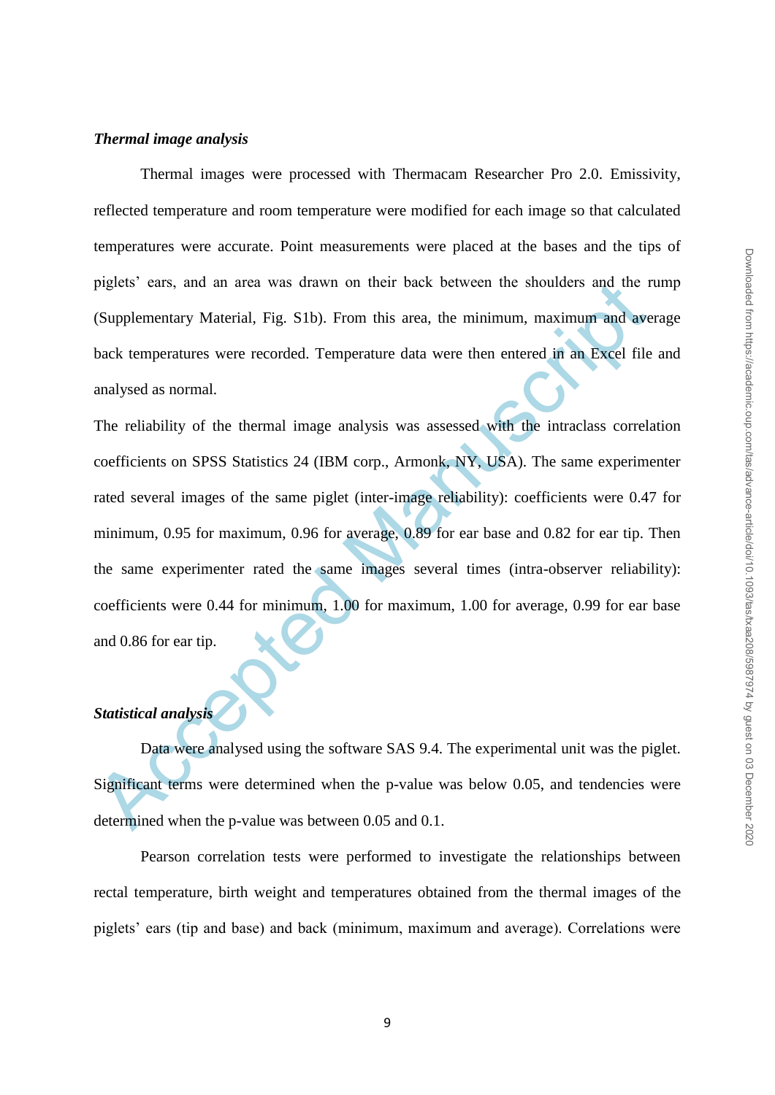#### *Thermal image analysis*

Thermal images were processed with Thermacam Researcher Pro 2.0. Emissivity, reflected temperature and room temperature were modified for each image so that calculated temperatures were accurate. Point measurements were placed at the bases and the tips of piglets" ears, and an area was drawn on their back between the shoulders and the rump (Supplementary Material, Fig. S1b). From this area, the minimum, maximum and average back temperatures were recorded. Temperature data were then entered in an Excel file and analysed as normal.

piglets' ears, and an area was drawn on their back between the shoulders and the r<br>
(Supplementary Material, Fig. S1b). From this area, the minimum, maximum and ave<br>
back temperatures were recorded. Temperature data were t The reliability of the thermal image analysis was assessed with the intraclass correlation coefficients on SPSS Statistics 24 (IBM corp., Armonk, NY, USA). The same experimenter rated several images of the same piglet (inter-image reliability): coefficients were 0.47 for minimum, 0.95 for maximum, 0.96 for average, 0.89 for ear base and 0.82 for ear tip. Then the same experimenter rated the same images several times (intra-observer reliability): coefficients were 0.44 for minimum, 1.00 for maximum, 1.00 for average, 0.99 for ear base and 0.86 for ear tip.

# *Statistical analysis*

Data were analysed using the software SAS 9.4. The experimental unit was the piglet. Significant terms were determined when the p-value was below 0.05, and tendencies were determined when the p-value was between 0.05 and 0.1.

Pearson correlation tests were performed to investigate the relationships between rectal temperature, birth weight and temperatures obtained from the thermal images of the piglets" ears (tip and base) and back (minimum, maximum and average). Correlations were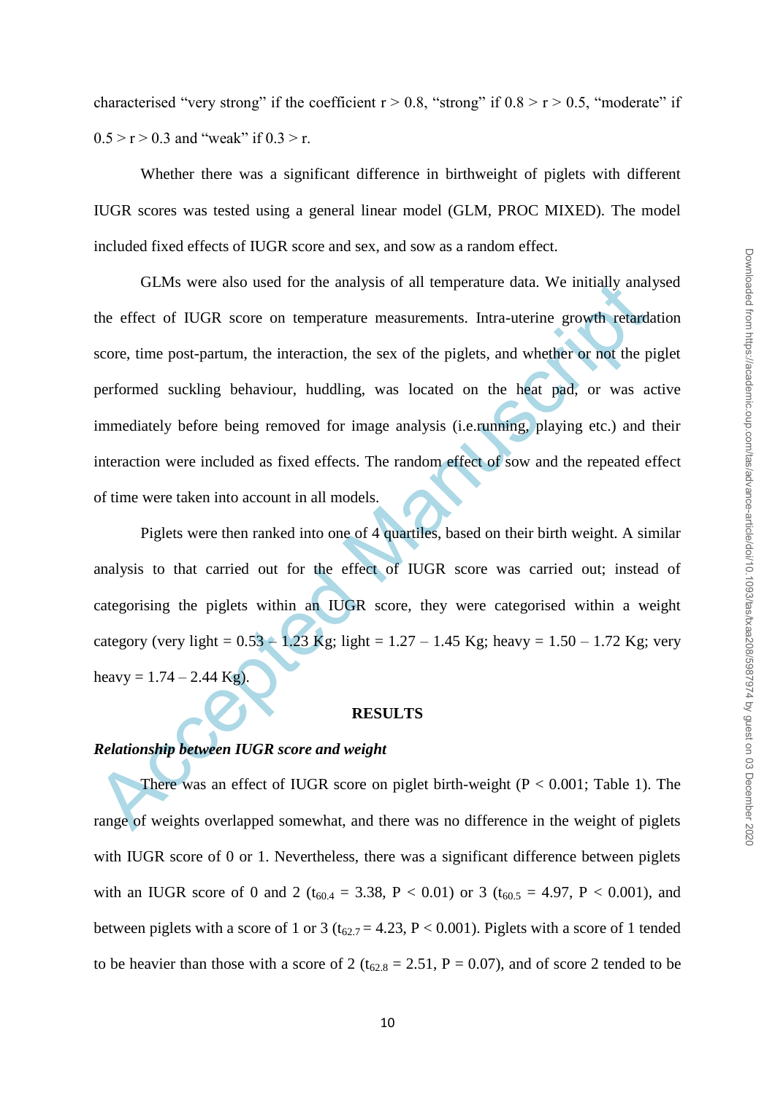characterised "very strong" if the coefficient  $r > 0.8$ , "strong" if  $0.8 > r > 0.5$ , "moderate" if  $0.5 > r > 0.3$  and "weak" if  $0.3 > r$ .

Whether there was a significant difference in birthweight of piglets with different IUGR scores was tested using a general linear model (GLM, PROC MIXED). The model included fixed effects of IUGR score and sex, and sow as a random effect.

GLMs were also used for the analysis of all temperature data. We initially anal<br>the effect of IUGR score on temperature measurements. Intra-uterine growth relards<br>score, time post-partum, the interaction, the sex of the p GLMs were also used for the analysis of all temperature data. We initially analysed the effect of IUGR score on temperature measurements. Intra-uterine growth retardation score, time post-partum, the interaction, the sex of the piglets, and whether or not the piglet performed suckling behaviour, huddling, was located on the heat pad, or was active immediately before being removed for image analysis (i.e.running, playing etc.) and their interaction were included as fixed effects. The random effect of sow and the repeated effect of time were taken into account in all models.

Piglets were then ranked into one of 4 quartiles, based on their birth weight. A similar analysis to that carried out for the effect of IUGR score was carried out; instead of categorising the piglets within an IUGR score, they were categorised within a weight category (very light =  $0.53 - 1.23$  Kg; light =  $1.27 - 1.45$  Kg; heavy =  $1.50 - 1.72$  Kg; very heavy =  $1.74 - 2.44$  Kg).

#### **RESULTS**

#### *Relationship between IUGR score and weight*

There was an effect of IUGR score on piglet birth-weight  $(P < 0.001$ ; Table 1). The range of weights overlapped somewhat, and there was no difference in the weight of piglets with IUGR score of 0 or 1. Nevertheless, there was a significant difference between piglets with an IUGR score of 0 and 2 ( $t_{60.4} = 3.38$ , P < 0.01) or 3 ( $t_{60.5} = 4.97$ , P < 0.001), and between piglets with a score of 1 or 3 ( $t_{62.7} = 4.23$ , P < 0.001). Piglets with a score of 1 tended to be heavier than those with a score of 2 ( $t_{62.8} = 2.51$ , P = 0.07), and of score 2 tended to be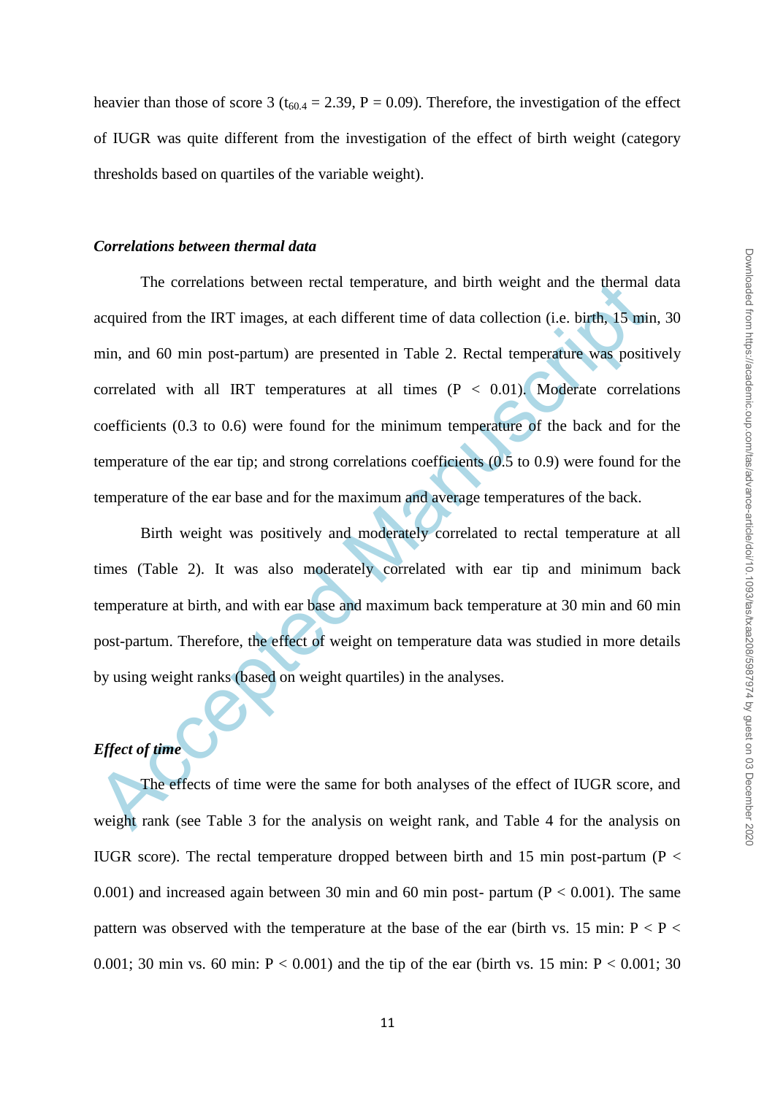heavier than those of score 3 ( $t_{60.4} = 2.39$ , P = 0.09). Therefore, the investigation of the effect of IUGR was quite different from the investigation of the effect of birth weight (category thresholds based on quartiles of the variable weight).

#### *Correlations between thermal data*

The correlations between rectal temperature, and birth weight and the thermal<br>acquired from the IRT images, at each different time of data collection (i.e. birth, 15 min<br>min, and 60 min post-partum) are presented in Table The correlations between rectal temperature, and birth weight and the thermal data acquired from the IRT images, at each different time of data collection (i.e. birth, 15 min, 30 min, and 60 min post-partum) are presented in Table 2. Rectal temperature was positively correlated with all IRT temperatures at all times  $(P < 0.01)$ . Moderate correlations coefficients (0.3 to 0.6) were found for the minimum temperature of the back and for the temperature of the ear tip; and strong correlations coefficients (0.5 to 0.9) were found for the temperature of the ear base and for the maximum and average temperatures of the back.

Birth weight was positively and moderately correlated to rectal temperature at all times (Table 2). It was also moderately correlated with ear tip and minimum back temperature at birth, and with ear base and maximum back temperature at 30 min and 60 min post-partum. Therefore, the effect of weight on temperature data was studied in more details by using weight ranks (based on weight quartiles) in the analyses.

# *Effect of time*

The effects of time were the same for both analyses of the effect of IUGR score, and weight rank (see Table 3 for the analysis on weight rank, and Table 4 for the analysis on IUGR score). The rectal temperature dropped between birth and 15 min post-partum ( $P <$ 0.001) and increased again between 30 min and 60 min post- partum ( $P < 0.001$ ). The same pattern was observed with the temperature at the base of the ear (birth vs. 15 min:  $P < P <$ 0.001; 30 min vs. 60 min:  $P < 0.001$ ) and the tip of the ear (birth vs. 15 min:  $P < 0.001$ ; 30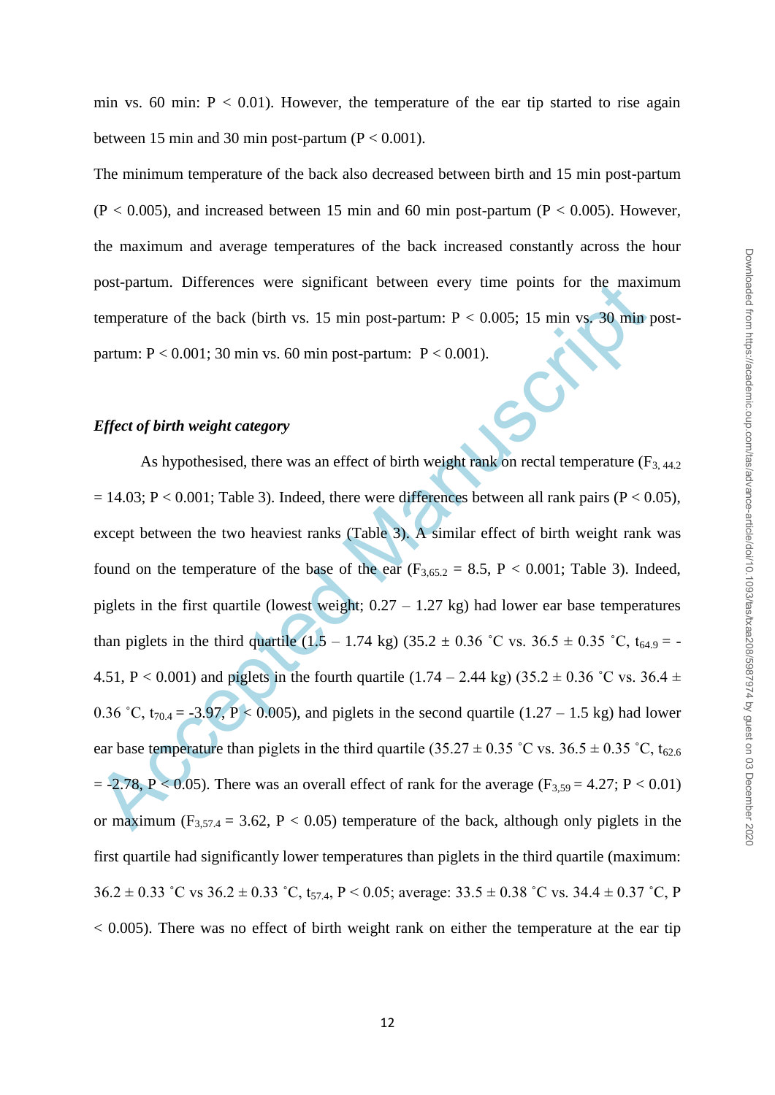The minimum temperature of the back also decreased between birth and 15 min post-partum  $(P < 0.005)$ , and increased between 15 min and 60 min post-partum ( $P < 0.005$ ). However, the maximum and average temperatures of the back increased constantly across the hour post-partum. Differences were significant between every time points for the maximum temperature of the back (birth vs. 15 min post-partum:  $P < 0.005$ ; 15 min vs. 30 min postpartum:  $P < 0.001$ ; 30 min vs. 60 min post-partum:  $P < 0.001$ ).

#### *Effect of birth weight category*

post-partum. Differences were significant between every time points for the maximitemperature of the back (birth vs. 15 min post-partum: P < 0.005; 15 min vs. 30 min partum: P < 0.001; 30 min vs. 60 min post-partum: P < 0 As hypothesised, there was an effect of birth weight rank on rectal temperature  $(F_{3, 44.2})$  $= 14.03$ ; P < 0.001; Table 3). Indeed, there were differences between all rank pairs (P < 0.05), except between the two heaviest ranks (Table 3). A similar effect of birth weight rank was found on the temperature of the base of the ear  $(F_{3,65,2} = 8.5, P < 0.001;$  Table 3). Indeed, piglets in the first quartile (lowest weight;  $0.27 - 1.27$  kg) had lower ear base temperatures than piglets in the third quartile  $(1.5 - 1.74 \text{ kg}) (35.2 \pm 0.36 \degree \text{C} \text{ vs. } 36.5 \pm 0.35 \degree \text{C}, t_{64.9} = -1.74 \text{ kg})$ 4.51, P < 0.001) and piglets in the fourth quartile  $(1.74 - 2.44 \text{ kg}) (35.2 \pm 0.36 \degree \text{C} \text{ vs. } 36.4 \pm 1.0 \degree \text{C} \text{ vs. } 36.4 \pm 1.0 \degree \text{C} \text{ vs. } 36.4 \pm 1.0 \degree \text{C} \text{ vs. } 36.4 \pm 1.0 \degree \text{C} \text{ vs. } 36.4 \pm 1.0 \degree \text{C} \text{ vs. } 36.4 \pm$ 0.36 °C,  $t_{70.4} = -3.97$ , P < 0.005), and piglets in the second quartile (1.27 – 1.5 kg) had lower ear base temperature than piglets in the third quartile (35.27  $\pm$  0.35 °C vs. 36.5  $\pm$  0.35 °C, t<sub>62.6</sub>  $= -2.78$ , P < 0.05). There was an overall effect of rank for the average (F<sub>3.59</sub> = 4.27; P < 0.01) or maximum ( $F_{3,57,4} = 3.62$ ,  $P < 0.05$ ) temperature of the back, although only piglets in the first quartile had significantly lower temperatures than piglets in the third quartile (maximum: 36.2  $\pm$  0.33 °C vs 36.2  $\pm$  0.33 °C, t<sub>57.4</sub>, P < 0.05; average: 33.5  $\pm$  0.38 °C vs. 34.4  $\pm$  0.37 °C, P  $< 0.005$ ). There was no effect of birth weight rank on either the temperature at the ear tip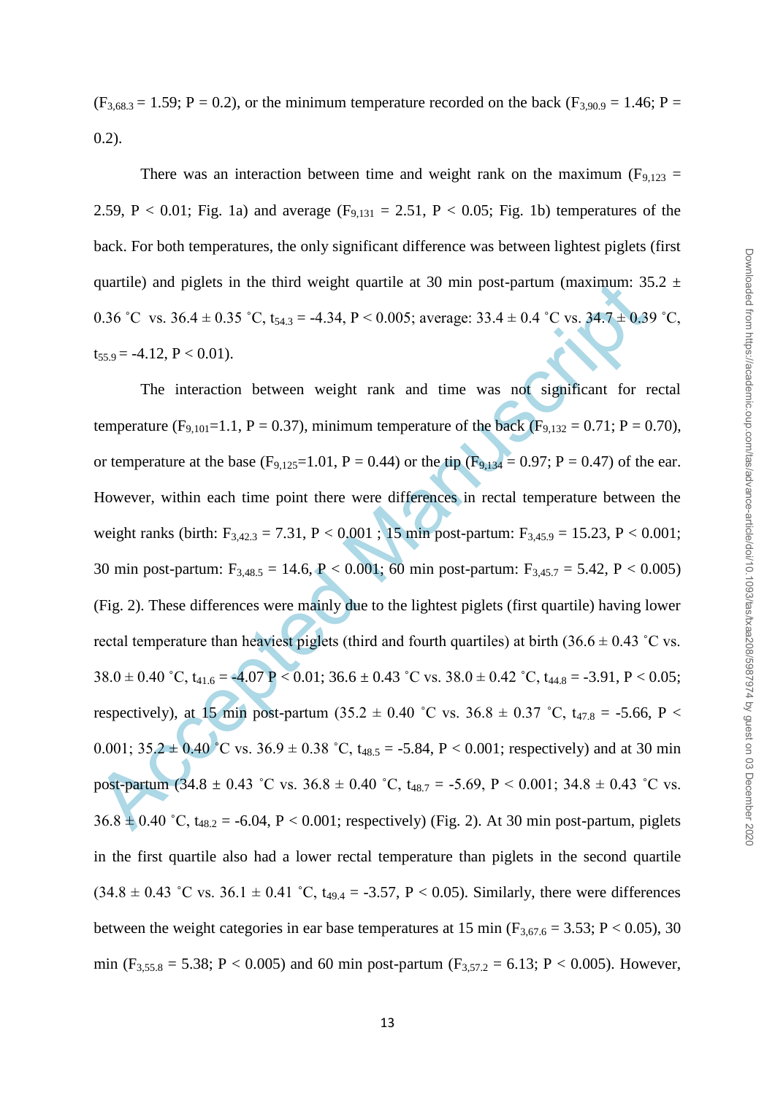Downloaded from https://academic.oup.com/tas/advance-article/doi/10.1093/tas/txaa208/5987974 by guest on 03 December 2020 Downloaded from https://academic.oup.com/tas/advance-article/doi/10.1093/tas/txaa208/5987974 by guest on 03 December 2020

 $(F_{3,68.3} = 1.59; P = 0.2)$ , or the minimum temperature recorded on the back  $(F_{3,90.9} = 1.46; P = 0.2)$ 0.2).

There was an interaction between time and weight rank on the maximum ( $F_{9,123}$  = 2.59, P < 0.01; Fig. 1a) and average  $(F_{9,131} = 2.51, P < 0.05;$  Fig. 1b) temperatures of the back. For both temperatures, the only significant difference was between lightest piglets (first quartile) and piglets in the third weight quartile at 30 min post-partum (maximum:  $35.2 \pm$ 0.36 °C vs.  $36.4 \pm 0.35$  °C,  $t_{54.3} = -4.34$ ,  $P < 0.005$ ; average:  $33.4 \pm 0.4$  °C vs.  $34.7 \pm 0.39$  °C,  $t_{55.9} = -4.12$ ,  $P < 0.01$ ).

quartite) and piglets in the third weight quartile at 30 min post-partum (maximum: 35<br>
0.36 °C vs. 36.4 ± 0.35 °C, t<sub>54.3</sub> = -4.34, P < 0.005; average: 33.4 ± 0.4 °C vs. 34.7 ± 0.36<br>
t<sub>53.9</sub> = -4.12, P < 0.01).<br>
The inter The interaction between weight rank and time was not significant for rectal temperature (F<sub>9,101</sub>=1.1, P = 0.37), minimum temperature of the back (F<sub>9,132</sub> = 0.71; P = 0.70), or temperature at the base  $(F_{9,125}=1.01, P = 0.44)$  or the tip  $(F_{9,134}=0.97; P = 0.47)$  of the ear. However, within each time point there were differences in rectal temperature between the weight ranks (birth:  $F_{3,42,3} = 7.31$ ,  $P < 0.001$ ; 15 min post-partum:  $F_{3,45,9} = 15.23$ ,  $P < 0.001$ ; 30 min post-partum:  $F_{3,48.5} = 14.6$ ,  $P < 0.001$ ; 60 min post-partum:  $F_{3,45.7} = 5.42$ ,  $P < 0.005$ ) (Fig. 2). These differences were mainly due to the lightest piglets (first quartile) having lower rectal temperature than heaviest piglets (third and fourth quartiles) at birth  $(36.6 \pm 0.43 \degree C \text{ vs.})$  $38.0 \pm 0.40$  °C,  $t_{41.6} = -4.07$  P < 0.01;  $36.6 \pm 0.43$  °C vs.  $38.0 \pm 0.42$  °C,  $t_{44.8} = -3.91$ , P < 0.05; respectively), at 15 min post-partum (35.2  $\pm$  0.40 °C vs. 36.8  $\pm$  0.37 °C, t<sub>47.8</sub> = -5.66, P < 0.001;  $35.2 \pm 0.40$  °C vs.  $36.9 \pm 0.38$  °C,  $t_{48.5} = -5.84$ , P < 0.001; respectively) and at 30 min post-partum (34.8  $\pm$  0.43 °C vs. 36.8  $\pm$  0.40 °C, t<sub>48.7</sub> = -5.69, P < 0.001; 34.8  $\pm$  0.43 °C vs.  $36.8 \pm 0.40$  °C,  $t_{48.2} = -6.04$ , P < 0.001; respectively) (Fig. 2). At 30 min post-partum, piglets in the first quartile also had a lower rectal temperature than piglets in the second quartile  $(34.8 \pm 0.43 \degree C \text{ vs. } 36.1 \pm 0.41 \degree C, t_{49.4} = -3.57, P < 0.05)$ . Similarly, there were differences between the weight categories in ear base temperatures at 15 min ( $F_{3,67,6} = 3.53$ ; P < 0.05), 30 min ( $F_{3,55.8} = 5.38$ ; P < 0.005) and 60 min post-partum ( $F_{3,57.2} = 6.13$ ; P < 0.005). However,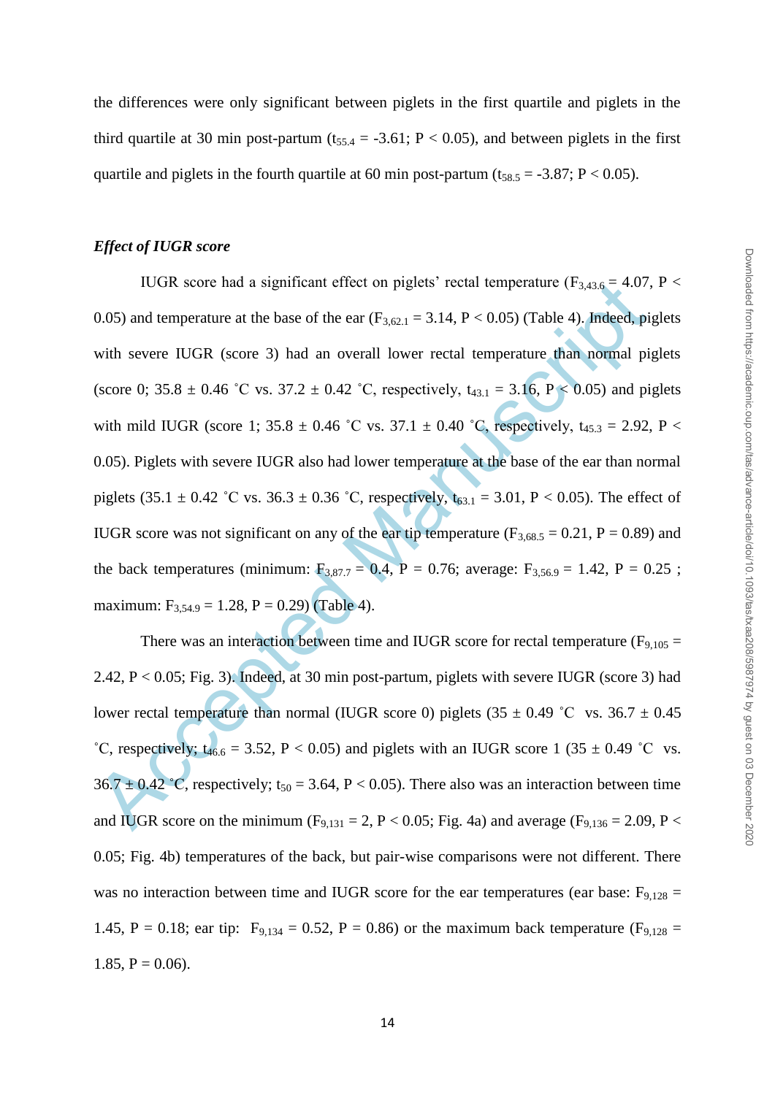the differences were only significant between piglets in the first quartile and piglets in the third quartile at 30 min post-partum ( $t_{55.4} = -3.61$ ; P < 0.05), and between piglets in the first quartile and piglets in the fourth quartile at 60 min post-partum ( $t_{58.5} = -3.87$ ; P < 0.05).

#### *Effect of IUGR score*

10.6K score had a significant effect on piglets' rectal temperature ( $F_{3,43,6} = 4.0I$ ,<br>
0.05) and temperature at the base of the ear ( $F_{3,42,1} = 3.14$ ,  $P < 0.05$ ) (Table 4), Indeed, pig<br>
with severe IUGR (score 3) had a IUGR score had a significant effect on piglets' rectal temperature ( $F_{3,43.6} = 4.07$ , P < 0.05) and temperature at the base of the ear  $(F_{3,62.1} = 3.14, P < 0.05)$  (Table 4). Indeed, piglets with severe IUGR (score 3) had an overall lower rectal temperature than normal piglets (score 0; 35.8  $\pm$  0.46 °C vs. 37.2  $\pm$  0.42 °C, respectively, t<sub>43.1</sub> = 3.16, P < 0.05) and piglets with mild IUGR (score 1; 35.8  $\pm$  0.46 °C vs. 37.1  $\pm$  0.40 °C, respectively, t<sub>45.3</sub> = 2.92, P < 0.05). Piglets with severe IUGR also had lower temperature at the base of the ear than normal piglets (35.1  $\pm$  0.42 °C vs. 36.3  $\pm$  0.36 °C, respectively,  $t_{63.1}$  = 3.01, P < 0.05). The effect of IUGR score was not significant on any of the ear tip temperature ( $F_{3,68,5} = 0.21$ ,  $P = 0.89$ ) and the back temperatures (minimum:  $F_{3,87.7} = 0.4$ , P = 0.76; average:  $F_{3,56.9} = 1.42$ , P = 0.25; maximum:  $F_{3,54.9} = 1.28$ ,  $P = 0.29$  (Table 4).

There was an interaction between time and IUGR score for rectal temperature  $(F_{9,105} =$ 2.42, P < 0.05; Fig. 3). Indeed, at 30 min post-partum, piglets with severe IUGR (score 3) had lower rectal temperature than normal (IUGR score 0) piglets  $(35 \pm 0.49 \degree C \text{ vs. } 36.7 \pm 0.45 \degree C \text{ vs. } 36.7 \pm 0.45 \degree C \text{ vs. } 36.7 \pm 0.45 \degree C \text{ vs. } 36.7 \pm 0.45 \degree C \text{ vs. } 36.7 \pm 0.45 \degree C \text{ vs. } 36.7 \pm 0.45 \degree C \text{ vs. } 36.7 \pm 0.45 \degree C$ <sup>°</sup>C, respectively; t<sub>46.6</sub> = 3.52, P < 0.05) and piglets with an IUGR score 1 (35  $\pm$  0.49 <sup>°</sup>C vs.  $36.7 \pm 0.42$  °C, respectively; t<sub>50</sub> = 3.64, P < 0.05). There also was an interaction between time and IUGR score on the minimum (F<sub>9,131</sub> = 2, P < 0.05; Fig. 4a) and average (F<sub>9,136</sub> = 2.09, P < 0.05; Fig. 4b) temperatures of the back, but pair-wise comparisons were not different. There was no interaction between time and IUGR score for the ear temperatures (ear base:  $F_{9,128} =$ 1.45, P = 0.18; ear tip:  $F_{9,134} = 0.52$ , P = 0.86) or the maximum back temperature ( $F_{9,128} =$ 1.85,  $P = 0.06$ ).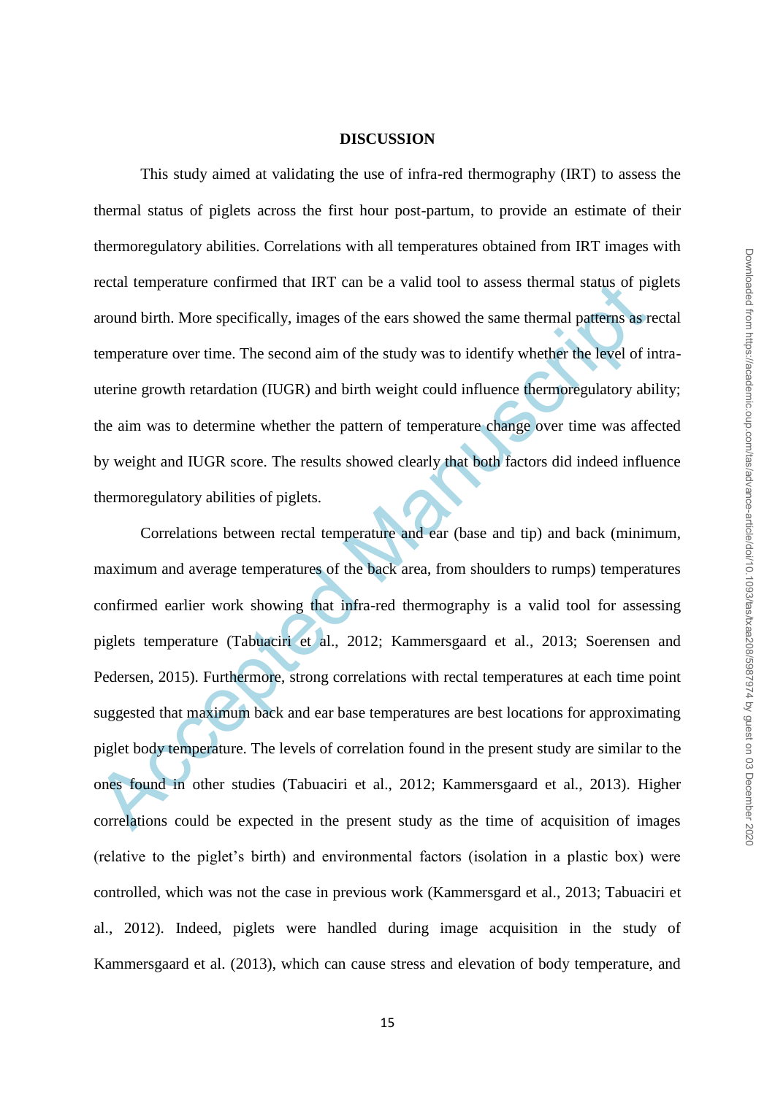#### **DISCUSSION**

This study aimed at validating the use of infra-red thermography (IRT) to assess the thermal status of piglets across the first hour post-partum, to provide an estimate of their thermoregulatory abilities. Correlations with all temperatures obtained from IRT images with rectal temperature confirmed that IRT can be a valid tool to assess thermal status of piglets around birth. More specifically, images of the ears showed the same thermal patterns as rectal temperature over time. The second aim of the study was to identify whether the level of intrauterine growth retardation (IUGR) and birth weight could influence thermoregulatory ability; the aim was to determine whether the pattern of temperature change over time was affected by weight and IUGR score. The results showed clearly that both factors did indeed influence thermoregulatory abilities of piglets.

rectal temperature continued that IRT can be a valid tool to assess thermal status of paramed birth. More specifically, images of the ears showed the same thermal patterns as remperature over time. The second aim of the st Correlations between rectal temperature and ear (base and tip) and back (minimum, maximum and average temperatures of the back area, from shoulders to rumps) temperatures confirmed earlier work showing that infra-red thermography is a valid tool for assessing piglets temperature (Tabuaciri et al., 2012; Kammersgaard et al., 2013; Soerensen and Pedersen, 2015). Furthermore, strong correlations with rectal temperatures at each time point suggested that maximum back and ear base temperatures are best locations for approximating piglet body temperature. The levels of correlation found in the present study are similar to the ones found in other studies (Tabuaciri et al., 2012; Kammersgaard et al., 2013). Higher correlations could be expected in the present study as the time of acquisition of images (relative to the piglet"s birth) and environmental factors (isolation in a plastic box) were controlled, which was not the case in previous work (Kammersgard et al., 2013; Tabuaciri et al., 2012). Indeed, piglets were handled during image acquisition in the study of Kammersgaard et al. (2013), which can cause stress and elevation of body temperature, and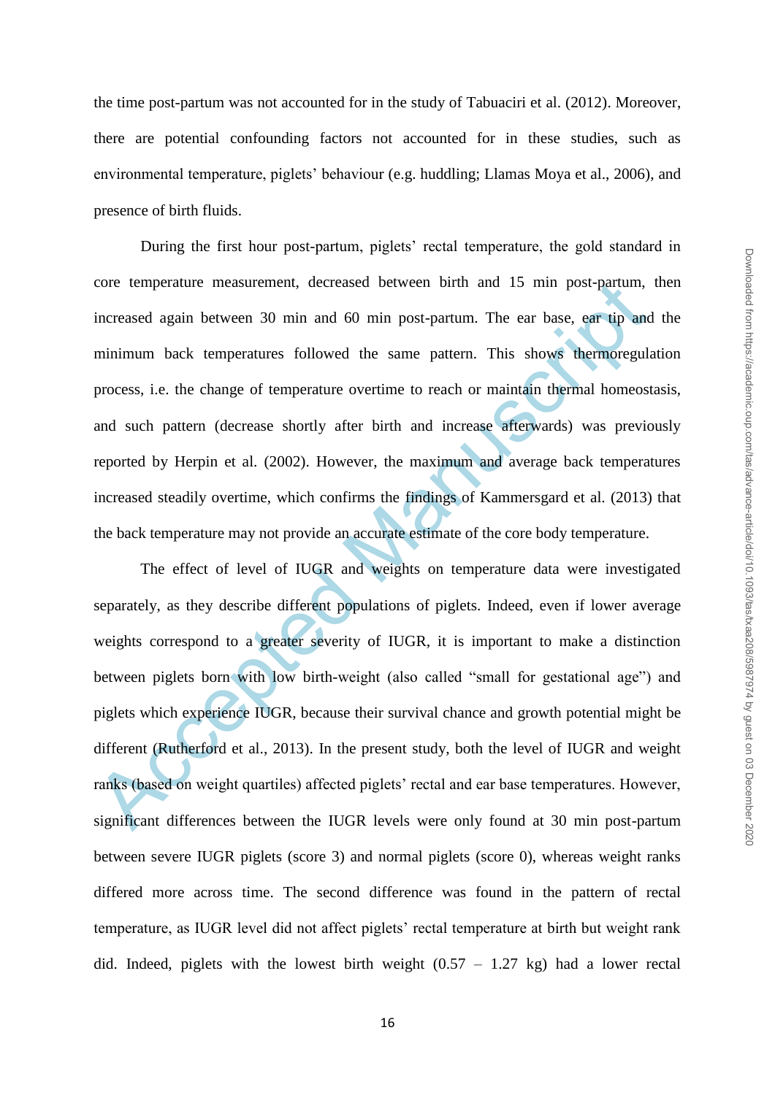the time post-partum was not accounted for in the study of Tabuaciri et al. (2012). Moreover, there are potential confounding factors not accounted for in these studies, such as environmental temperature, piglets" behaviour (e.g. huddling; Llamas Moya et al., 2006), and presence of birth fluids.

During the first hour post-partum, piglets' rectal temperature, the gold standard in core temperature measurement, decreased between birth and 15 min post-partum, then increased again between 30 min and 60 min post-partum. The ear base, ear tip and the minimum back temperatures followed the same pattern. This shows thermoregulation process, i.e. the change of temperature overtime to reach or maintain thermal homeostasis, and such pattern (decrease shortly after birth and increase afterwards) was previously reported by Herpin et al. (2002). However, the maximum and average back temperatures increased steadily overtime, which confirms the findings of Kammersgard et al. (2013) that the back temperature may not provide an accurate estimate of the core body temperature.

core temperature measurement, decreased between birth and 15 min post-partum,<br>increased again between 30 min and 60 min post-partum. The ear base, ear tip and<br>minimum back temperatures followed the same pattern. This shows The effect of level of IUGR and weights on temperature data were investigated separately, as they describe different populations of piglets. Indeed, even if lower average weights correspond to a greater severity of IUGR, it is important to make a distinction between piglets born with low birth-weight (also called "small for gestational age") and piglets which experience IUGR, because their survival chance and growth potential might be different (Rutherford et al., 2013). In the present study, both the level of IUGR and weight ranks (based on weight quartiles) affected piglets' rectal and ear base temperatures. However, significant differences between the IUGR levels were only found at 30 min post-partum between severe IUGR piglets (score 3) and normal piglets (score 0), whereas weight ranks differed more across time. The second difference was found in the pattern of rectal temperature, as IUGR level did not affect piglets" rectal temperature at birth but weight rank did. Indeed, piglets with the lowest birth weight  $(0.57 - 1.27 \text{ kg})$  had a lower rectal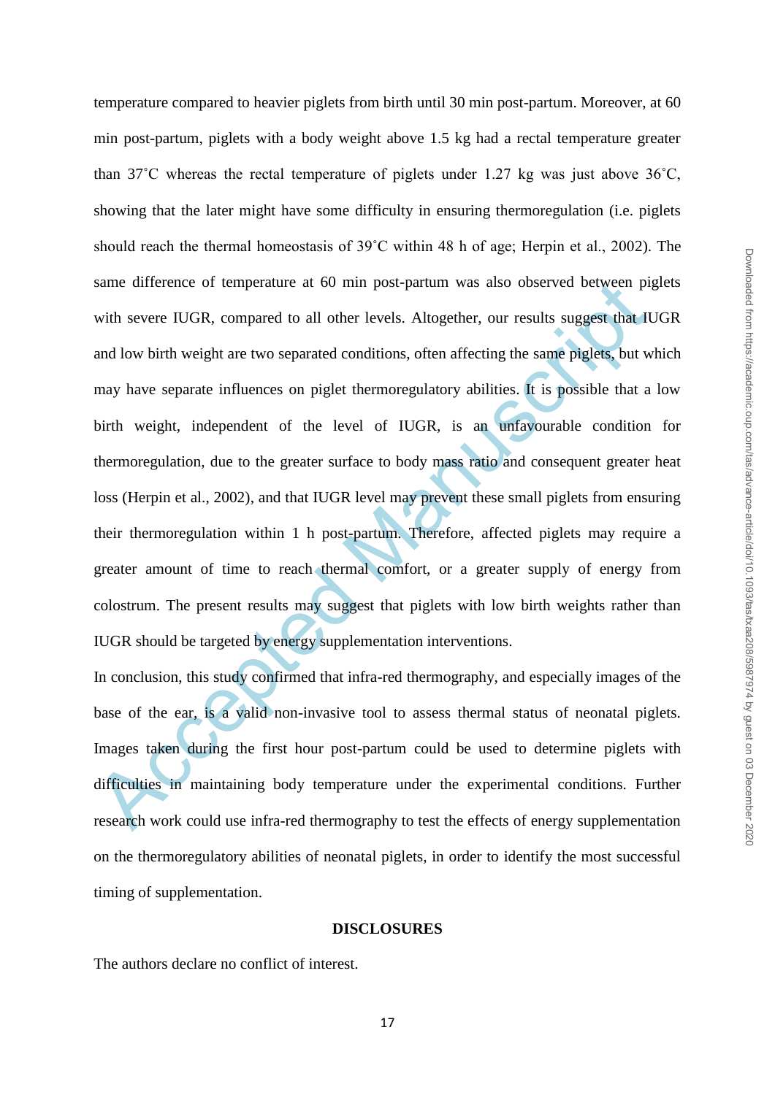same difference of temperature at 60 mm post-partum was also observed between privative several temperature at 60 mm post-partum was also observed between privative several UGR, compared to all other levels. Altogether, ou temperature compared to heavier piglets from birth until 30 min post-partum. Moreover, at 60 min post-partum, piglets with a body weight above 1.5 kg had a rectal temperature greater than 37˚C whereas the rectal temperature of piglets under 1.27 kg was just above 36˚C, showing that the later might have some difficulty in ensuring thermoregulation (i.e. piglets should reach the thermal homeostasis of 39˚C within 48 h of age; Herpin et al., 2002). The same difference of temperature at 60 min post-partum was also observed between piglets with severe IUGR, compared to all other levels. Altogether, our results suggest that IUGR and low birth weight are two separated conditions, often affecting the same piglets, but which may have separate influences on piglet thermoregulatory abilities. It is possible that a low birth weight, independent of the level of IUGR, is an unfavourable condition for thermoregulation, due to the greater surface to body mass ratio and consequent greater heat loss (Herpin et al., 2002), and that IUGR level may prevent these small piglets from ensuring their thermoregulation within 1 h post-partum. Therefore, affected piglets may require a greater amount of time to reach thermal comfort, or a greater supply of energy from colostrum. The present results may suggest that piglets with low birth weights rather than IUGR should be targeted by energy supplementation interventions.

In conclusion, this study confirmed that infra-red thermography, and especially images of the base of the ear, is a valid non-invasive tool to assess thermal status of neonatal piglets. Images taken during the first hour post-partum could be used to determine piglets with difficulties in maintaining body temperature under the experimental conditions. Further research work could use infra-red thermography to test the effects of energy supplementation on the thermoregulatory abilities of neonatal piglets, in order to identify the most successful timing of supplementation.

#### **DISCLOSURES**

The authors declare no conflict of interest.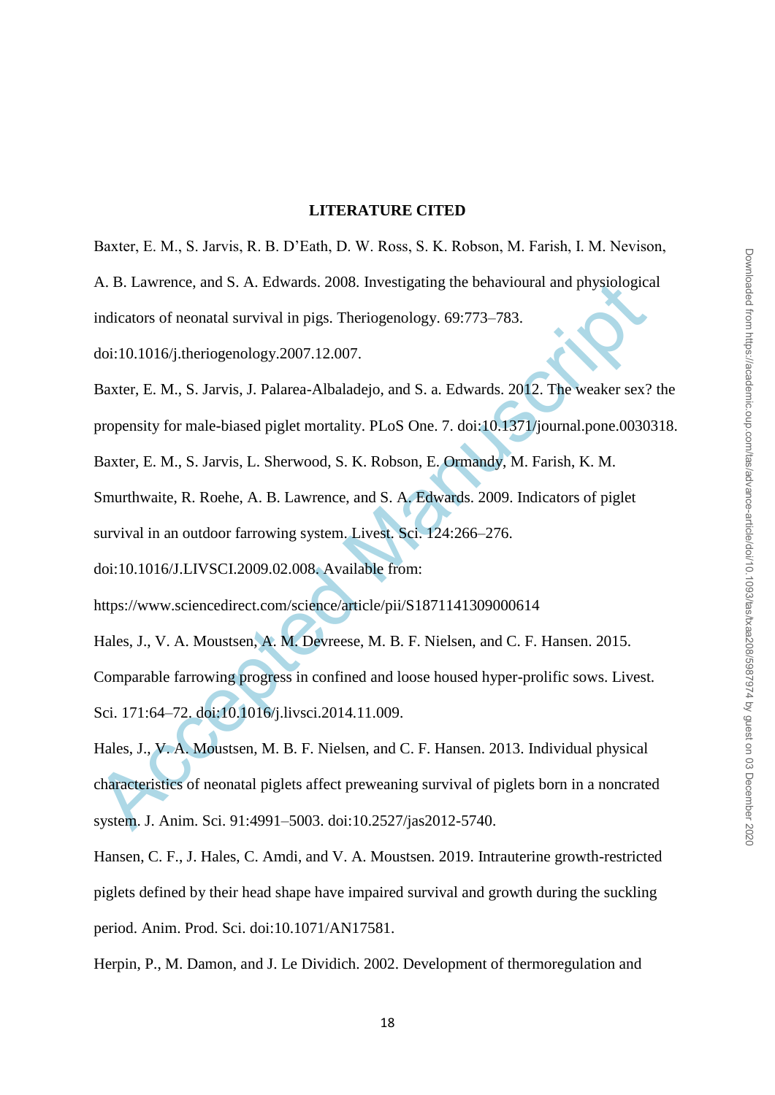#### **LITERATURE CITED**

Baxter, E. M., S. Jarvis, R. B. D"Eath, D. W. Ross, S. K. Robson, M. Farish, I. M. Nevison,

A. B. Lawrence, and S. A. Edwards. 2008. Investigating the behavioural and physiological indicators of neonatal survival in pigs. Theriogenology. 69:773–783.

doi:10.1016/j.theriogenology.2007.12.007.

Baxter, E. M., S. Jarvis, J. Palarea-Albaladejo, and S. a. Edwards. 2012. The weaker sex? the propensity for male-biased piglet mortality. PLoS One. 7. doi:10.1371/journal.pone.0030318.

Baxter, E. M., S. Jarvis, L. Sherwood, S. K. Robson, E. Ormandy, M. Farish, K. M.

Smurthwaite, R. Roehe, A. B. Lawrence, and S. A. Edwards. 2009. Indicators of piglet survival in an outdoor farrowing system. Livest. Sci. 124:266–276.

doi:10.1016/J.LIVSCI.2009.02.008. Available from:

https://www.sciencedirect.com/science/article/pii/S1871141309000614

Hales, J., V. A. Moustsen, A. M. Devreese, M. B. F. Nielsen, and C. F. Hansen. 2015.

Comparable farrowing progress in confined and loose housed hyper-prolific sows. Livest. Sci. 171:64–72. doi:10.1016/j.livsci.2014.11.009.

A. B. Lawrence, and S. A. Edwards. 2008. Investigating the behavioural and physiological<br>indicators of neonatal survival in pigs. Theriogenology. 69:773–783.<br>doi:10.1016/j.theriogenology.2007.12.007.<br>Baxter, E. M., S. Jarv Hales, J., V. A. Moustsen, M. B. F. Nielsen, and C. F. Hansen. 2013. Individual physical characteristics of neonatal piglets affect preweaning survival of piglets born in a noncrated system. J. Anim. Sci. 91:4991–5003. doi:10.2527/jas2012-5740.

Hansen, C. F., J. Hales, C. Amdi, and V. A. Moustsen. 2019. Intrauterine growth-restricted piglets defined by their head shape have impaired survival and growth during the suckling period. Anim. Prod. Sci. doi:10.1071/AN17581.

Herpin, P., M. Damon, and J. Le Dividich. 2002. Development of thermoregulation and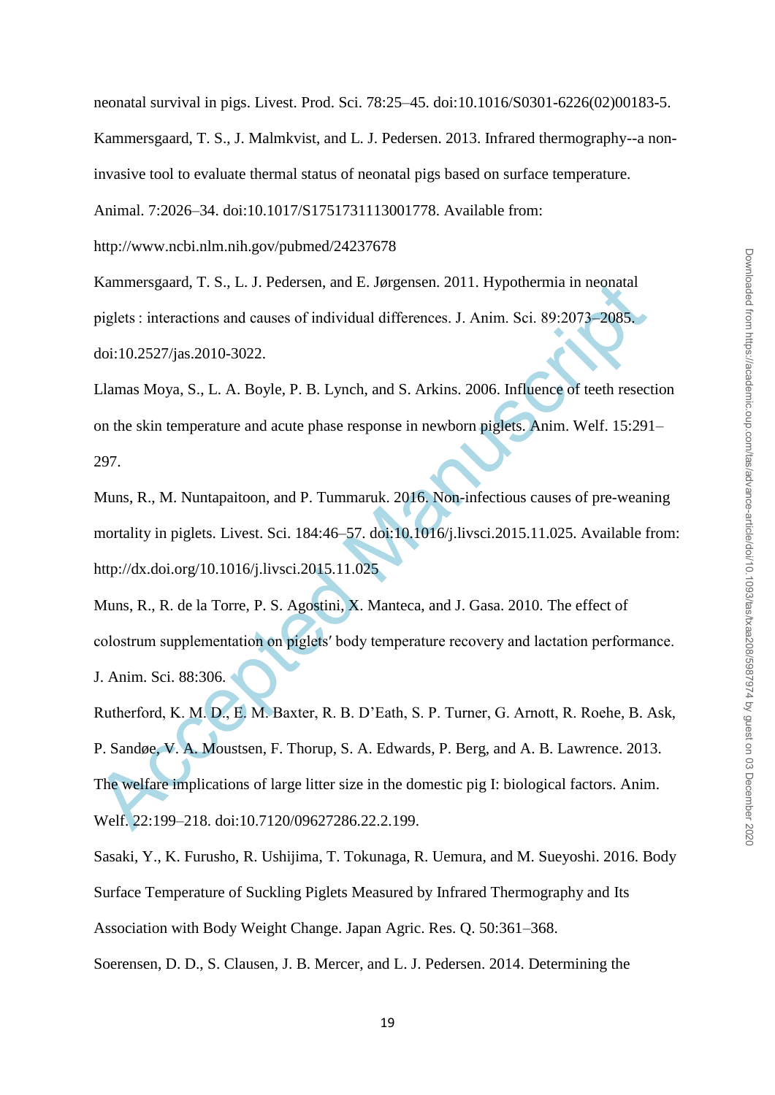neonatal survival in pigs. Livest. Prod. Sci. 78:25–45. doi:10.1016/S0301-6226(02)00183-5.

Kammersgaard, T. S., J. Malmkvist, and L. J. Pedersen. 2013. Infrared thermography--a non-

invasive tool to evaluate thermal status of neonatal pigs based on surface temperature.

Animal. 7:2026–34. doi:10.1017/S1751731113001778. Available from:

http://www.ncbi.nlm.nih.gov/pubmed/24237678

Kammersgaard, T. S., L. J. Pedersen, and E. Jørgensen. 2011. Hypothermia in neonatal piglets : interactions and causes of individual differences. J. Anim. Sci. 89:2073–2085. doi:10.2527/jas.2010-3022.

Llamas Moya, S., L. A. Boyle, P. B. Lynch, and S. Arkins. 2006. Influence of teeth resection on the skin temperature and acute phase response in newborn piglets. Anim. Welf. 15:291– 297.

Muns, R., M. Nuntapaitoon, and P. Tummaruk. 2016. Non-infectious causes of pre-weaning mortality in piglets. Livest. Sci. 184:46–57. doi:10.1016/j.livsci.2015.11.025. Available from: http://dx.doi.org/10.1016/j.livsci.2015.11.025

Muns, R., R. de la Torre, P. S. Agostini, X. Manteca, and J. Gasa. 2010. The effect of colostrum supplementation on piglets′ body temperature recovery and lactation performance. J. Anim. Sci. 88:306.

Kammersgaard, T. S., L. J. Pedersen, and E. Jørgensen. 2011. Hypotherma in neonatal<br>piglets : interactions and causes of individual differences. J. Anim. Sci. 89:2073-2085.<br>doi:10.2527/jas.2010-3022.<br>Llamas Moya, S., L. A. Rutherford, K. M. D., E. M. Baxter, R. B. D"Eath, S. P. Turner, G. Arnott, R. Roehe, B. Ask, P. Sandøe, V. A. Moustsen, F. Thorup, S. A. Edwards, P. Berg, and A. B. Lawrence. 2013. The welfare implications of large litter size in the domestic pig I: biological factors. Anim. Welf. 22:199–218. doi:10.7120/09627286.22.2.199.

Sasaki, Y., K. Furusho, R. Ushijima, T. Tokunaga, R. Uemura, and M. Sueyoshi. 2016. Body Surface Temperature of Suckling Piglets Measured by Infrared Thermography and Its Association with Body Weight Change. Japan Agric. Res. Q. 50:361–368.

Soerensen, D. D., S. Clausen, J. B. Mercer, and L. J. Pedersen. 2014. Determining the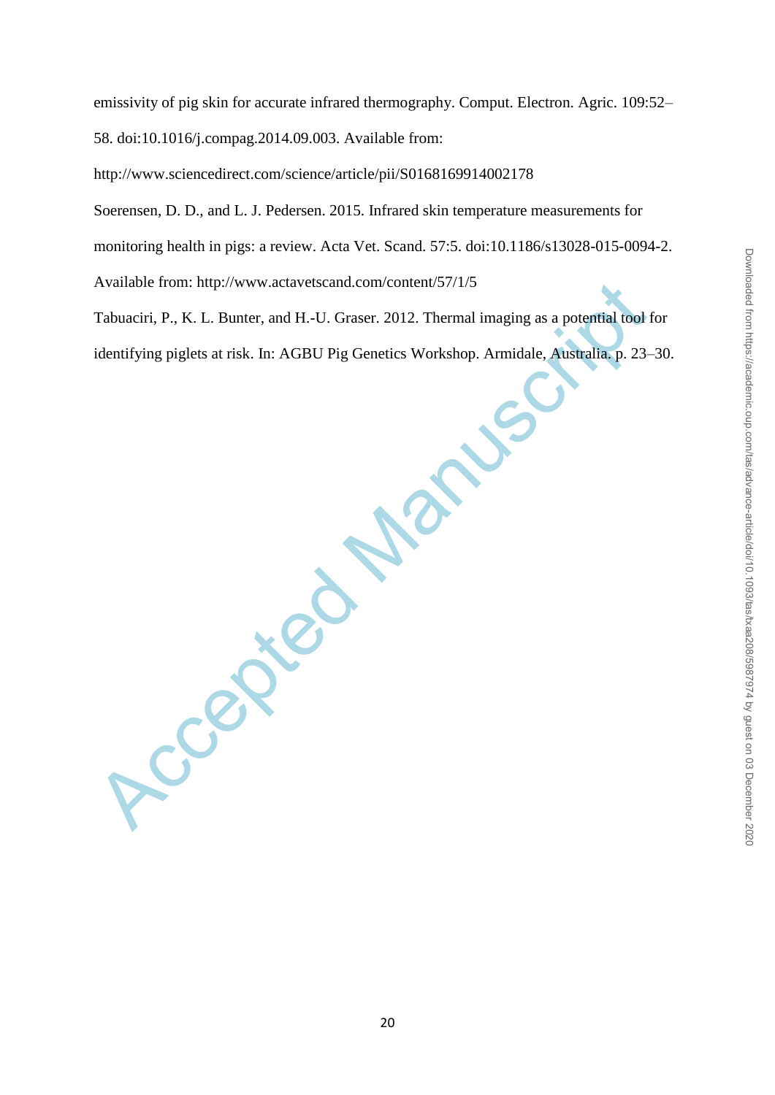emissivity of pig skin for accurate infrared thermography. Comput. Electron. Agric. 109:52– 58. doi:10.1016/j.compag.2014.09.003. Available from:

http://www.sciencedirect.com/science/article/pii/S0168169914002178

Soerensen, D. D., and L. J. Pedersen. 2015. Infrared skin temperature measurements for

monitoring health in pigs: a review. Acta Vet. Scand. 57:5. doi:10.1186/s13028-015-0094-2.

Available from: http://www.actavetscand.com/content/57/1/5

Tabuaciri, P., K. L. Bunter, and H.-U. Graser. 2012. Thermal imaging as a potential tool for identifying piglets at risk. In: AGBU Pig Genetics Workshop. Armidale, Australia. p. 23–30.

Accepted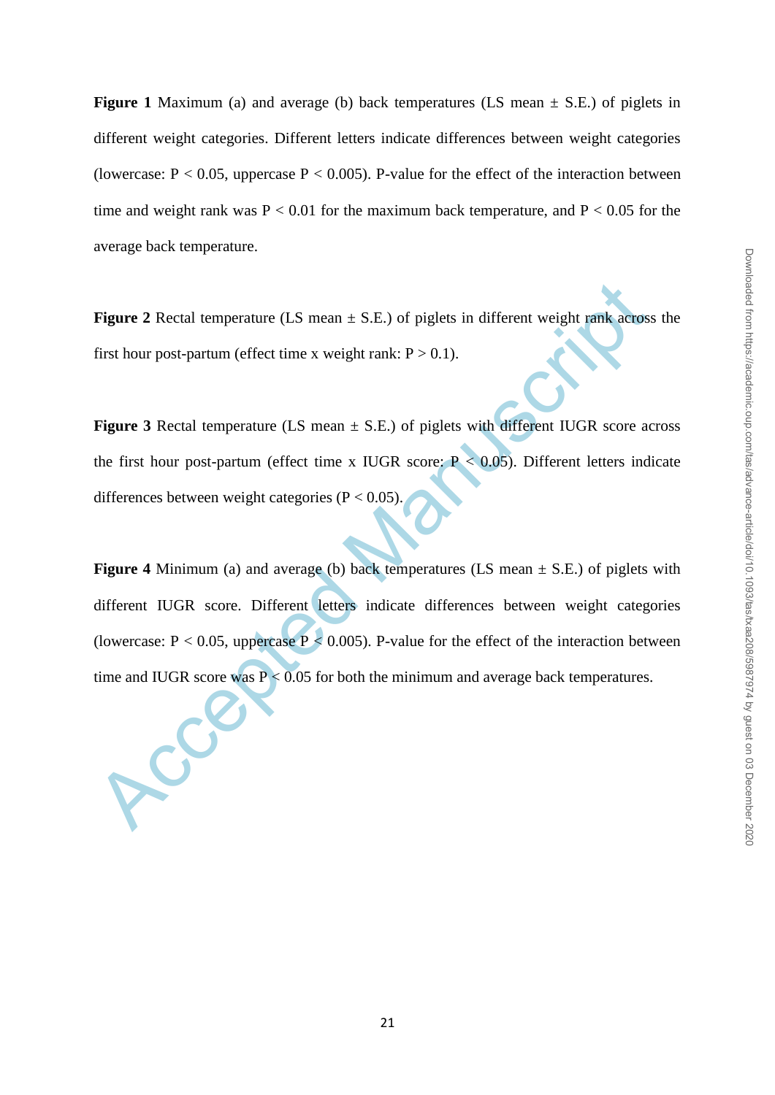**Figure 1** Maximum (a) and average (b) back temperatures (LS mean  $\pm$  S.E.) of piglets in different weight categories. Different letters indicate differences between weight categories (lowercase:  $P < 0.05$ , uppercase  $P < 0.005$ ). P-value for the effect of the interaction between time and weight rank was  $P < 0.01$  for the maximum back temperature, and  $P < 0.05$  for the average back temperature.

**Figure 2** Rectal temperature (LS mean  $\pm$  S.E.) of piglets in different weight rank across the first hour post-partum (effect time x weight rank:  $P > 0.1$ ).

**Figure 3** Rectal temperature (LS mean  $\pm$  S.E.) of piglets with different IUGR score across the first hour post-partum (effect time x IUGR score:  $P < 0.05$ ). Different letters indicate differences between weight categories ( $P < 0.05$ )

Figure 2 Rectal temperature (LS mean  $\pm$  S.E.) of piglets in different weight rank across<br>first hour post-partum (effect time x weight rank: P > 0.1).<br>Figure 3 Rectal temperature (LS mean  $\pm$  S.E.) of piglets with diffe **Figure 4** Minimum (a) and average (b) back temperatures (LS mean  $\pm$  S.E.) of piglets with different IUGR score. Different letters indicate differences between weight categories (lowercase:  $P < 0.05$ , uppercase  $P < 0.005$ ). P-value for the effect of the interaction between time and IUGR score was  $P \le 0.05$  for both the minimum and average back temperatures.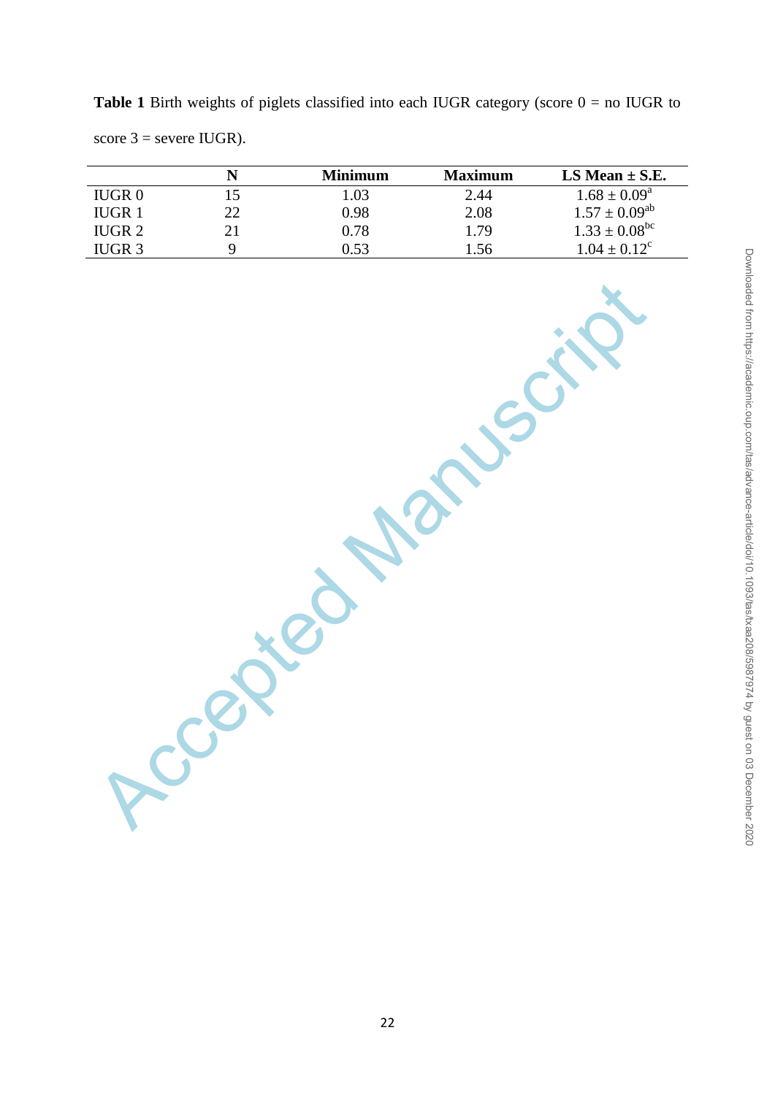**Table 1** Birth weights of piglets classified into each IUGR category (score  $0 =$  no IUGR to score  $3$  = severe IUGR).

|                   |    | Minimum | <b>Maximum</b> | LS Mean $\pm$ S.E.   |
|-------------------|----|---------|----------------|----------------------|
| <b>IUGR0</b>      |    | 1.03    | 2.44           | $1.68 \pm 0.09^a$    |
| <b>IUGR1</b>      | 22 | 0.98    | 2.08           | $1.57 \pm 0.09^{ab}$ |
| IUGR <sub>2</sub> |    | 0.78    | 1.79           | $1.33 \pm 0.08^{bc}$ |
| IUGR 3            |    | 0.53    | 1.56           | $1.04 \pm 0.12^c$    |

Xccepted Manuscri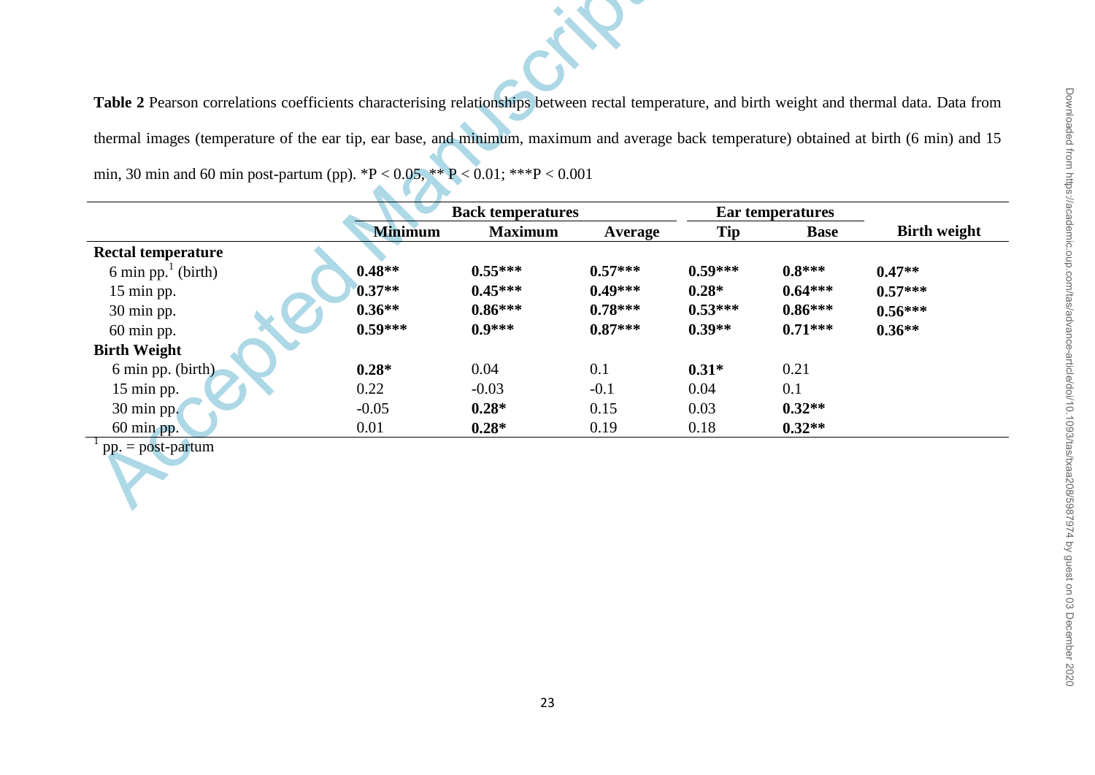| Table 2 Pearson correlations coefficients characterising relationships between rectal temperature, and birth weight and thermal data. Data fro |                          |                |                |            |                  |                     |
|------------------------------------------------------------------------------------------------------------------------------------------------|--------------------------|----------------|----------------|------------|------------------|---------------------|
|                                                                                                                                                |                          |                |                |            |                  |                     |
| thermal images (temperature of the ear tip, ear base, and minimum, maximum and average back temperature) obtained at birth (6 min) and         |                          |                |                |            |                  |                     |
| min, 30 min and 60 min post-partum (pp). *P < 0.05, ** P < 0.01; ***P < 0.001                                                                  |                          |                |                |            |                  |                     |
|                                                                                                                                                | <b>Back temperatures</b> |                |                |            | Ear temperatures |                     |
|                                                                                                                                                | <b>Minimum</b>           | <b>Maximum</b> | <b>Average</b> | <b>Tip</b> | <b>Base</b>      | <b>Birth weight</b> |
| <b>Rectal temperature</b>                                                                                                                      |                          |                |                |            |                  |                     |
| 6 min pp. $1$ (birth)                                                                                                                          | $0.48**$                 | $0.55***$      | $0.57***$      | $0.59***$  | $0.8***$         | $0.47**$            |
| 15 min pp.                                                                                                                                     | $0.37**$                 | $0.45***$      | $0.49***$      | $0.28*$    | $0.64***$        | $0.57***$           |
| 30 min pp.                                                                                                                                     | $0.36**$                 | $0.86***$      | $0.78***$      | $0.53***$  | $0.86***$        | $0.56***$           |
| 60 min pp.                                                                                                                                     | $0.59***$                | $0.9***$       | $0.87***$      | $0.39**$   | $0.71***$        | $0.36**$            |
|                                                                                                                                                |                          |                |                |            |                  |                     |
| <b>Birth Weight</b>                                                                                                                            |                          |                |                |            |                  |                     |
| 6 min pp. (birth)                                                                                                                              | $0.28*$                  | 0.04           | 0.1            | $0.31*$    | 0.21             |                     |
| 15 min pp.                                                                                                                                     | 0.22                     | $-0.03$        | $-0.1$         | 0.04       | 0.1              |                     |
| 30 min pp.                                                                                                                                     | $-0.05$                  | $0.28*$        | 0.15           | 0.03       | $0.32**$         |                     |
| 60 min pp.                                                                                                                                     | 0.01                     | $0.28*$        | 0.19           | 0.18       | $0.32**$         |                     |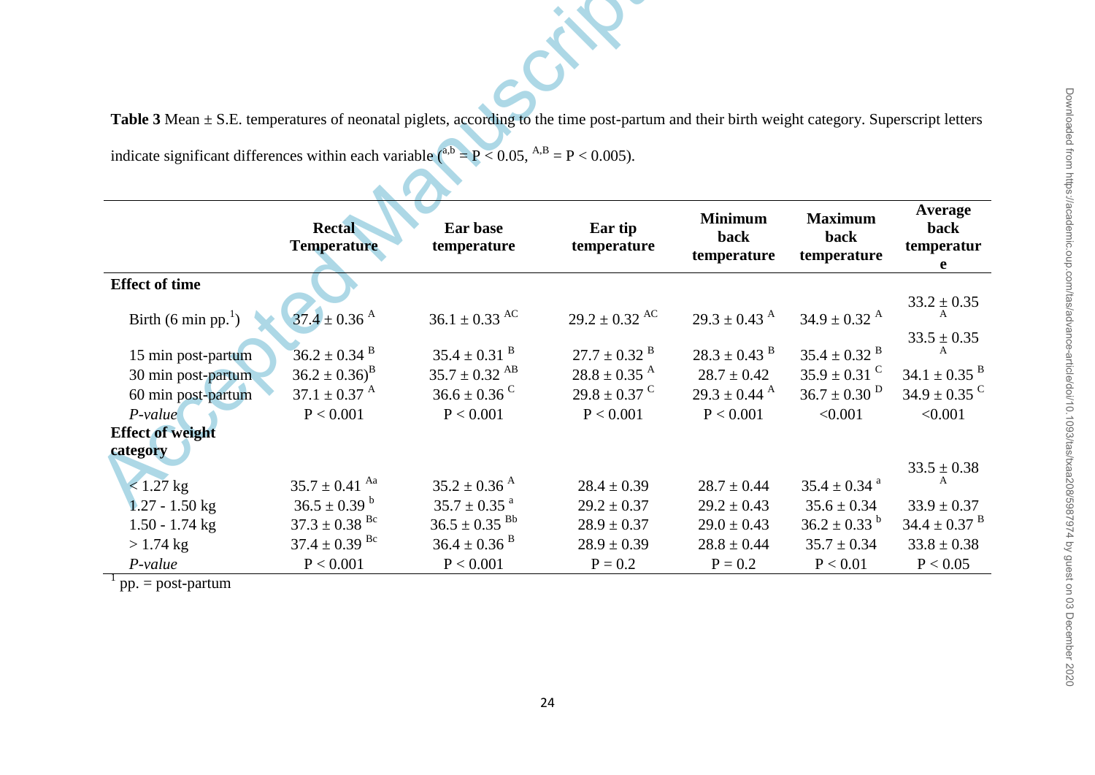| Table 3 Mean $\pm$ S.E. temperatures of neonatal piglets, according to the time post-partum and their birth weight category. Superscript letters |                                                                                              |                                                                                               |                                                                                              |                                                                                 |                                                                                               |                                                                                    |  |
|--------------------------------------------------------------------------------------------------------------------------------------------------|----------------------------------------------------------------------------------------------|-----------------------------------------------------------------------------------------------|----------------------------------------------------------------------------------------------|---------------------------------------------------------------------------------|-----------------------------------------------------------------------------------------------|------------------------------------------------------------------------------------|--|
| indicate significant differences within each variable $(^{a,b} = P < 0.05, ^{A,B} = P < 0.005)$ .                                                |                                                                                              |                                                                                               |                                                                                              |                                                                                 |                                                                                               |                                                                                    |  |
|                                                                                                                                                  | <b>Rectal</b><br><b>Temperature</b>                                                          | Ear base<br>temperature                                                                       | Ear tip<br>temperature                                                                       | <b>Minimum</b><br>back<br>temperature                                           | <b>Maximum</b><br>back<br>temperature                                                         | Average<br>back<br>temperatur<br>e                                                 |  |
| <b>Effect of time</b>                                                                                                                            |                                                                                              |                                                                                               |                                                                                              |                                                                                 |                                                                                               |                                                                                    |  |
| Birth $(6 \text{ min pp.}^1)$                                                                                                                    | $37.4 \pm 0.36$ <sup>A</sup>                                                                 | $36.1 \pm 0.33$ AC                                                                            | $29.2 \pm 0.32$ AC                                                                           | $29.3 \pm 0.43$ <sup>A</sup>                                                    | $34.9 \pm 0.32$ <sup>A</sup>                                                                  | $33.2 \pm 0.35$                                                                    |  |
| 15 min post-partum<br>30 min post-partum<br>60 min post-partum                                                                                   | $36.2 \pm 0.34$ <sup>B</sup><br>$36.2 \pm 0.36$ <sup>B</sup><br>$37.1 \pm 0.37$ <sup>A</sup> | $35.4 \pm 0.31$ <sup>B</sup><br>$35.7 \pm 0.32$ <sup>AB</sup><br>$36.6 \pm 0.36$ <sup>C</sup> | $27.7 \pm 0.32$ <sup>B</sup><br>$28.8 \pm 0.35$ <sup>A</sup><br>$29.8 \pm 0.37$ <sup>C</sup> | $28.3 \pm 0.43$ <sup>B</sup><br>$28.7 \pm 0.42$<br>$29.3 \pm 0.44$ <sup>A</sup> | $35.4\pm0.32$ $^{\mathrm{B}}$<br>$35.9 \pm 0.31$ <sup>C</sup><br>$36.7 \pm 0.30$ <sup>D</sup> | $33.5\pm0.35$<br>A<br>$34.1 \pm 0.35$ <sup>B</sup><br>$34.9 \pm 0.35$ <sup>C</sup> |  |
| $P-value$<br><b>Effect of weight</b><br>category                                                                                                 | P < 0.001                                                                                    | P < 0.001                                                                                     | P < 0.001                                                                                    | P < 0.001                                                                       | < 0.001                                                                                       | < 0.001                                                                            |  |
| $< 1.27$ kg<br>$1.27 - 1.50$ kg                                                                                                                  | $35.7 \pm 0.41$ Aa<br>$36.5 \pm 0.39$ <sup>b</sup>                                           | $35.2 \pm 0.36$ <sup>A</sup><br>$35.7 \pm 0.35$ <sup>a</sup>                                  | $28.4 \pm 0.39$<br>$29.2 \pm 0.37$                                                           | $28.7 \pm 0.44$<br>$29.2 \pm 0.43$                                              | $35.4 \pm 0.34$ <sup>a</sup><br>$35.6 \pm 0.34$                                               | $33.5 \pm 0.38$<br>$33.9 \pm 0.37$                                                 |  |
| $1.50 - 1.74$ kg                                                                                                                                 | $37.3 \pm 0.38$ <sup>Bc</sup>                                                                | $36.5 \pm 0.35$ <sup>Bb</sup>                                                                 | $28.9 \pm 0.37$                                                                              | $29.0 \pm 0.43$                                                                 | $36.2 \pm 0.33^{b}$                                                                           | $34.4 \pm 0.37$ <sup>B</sup>                                                       |  |
| $> 1.74$ kg<br>$P-value$                                                                                                                         | $37.4 \pm 0.39$ <sup>Bc</sup><br>P < 0.001                                                   | $36.4 \pm 0.36$ <sup>B</sup><br>P < 0.001                                                     | $28.9 \pm 0.39$<br>$P = 0.2$                                                                 | $28.8 \pm 0.44$<br>$P = 0.2$                                                    | $35.7 \pm 0.34$<br>P < 0.01                                                                   | $33.8 \pm 0.38$<br>P < 0.05                                                        |  |

 $1$  pp. = post-partum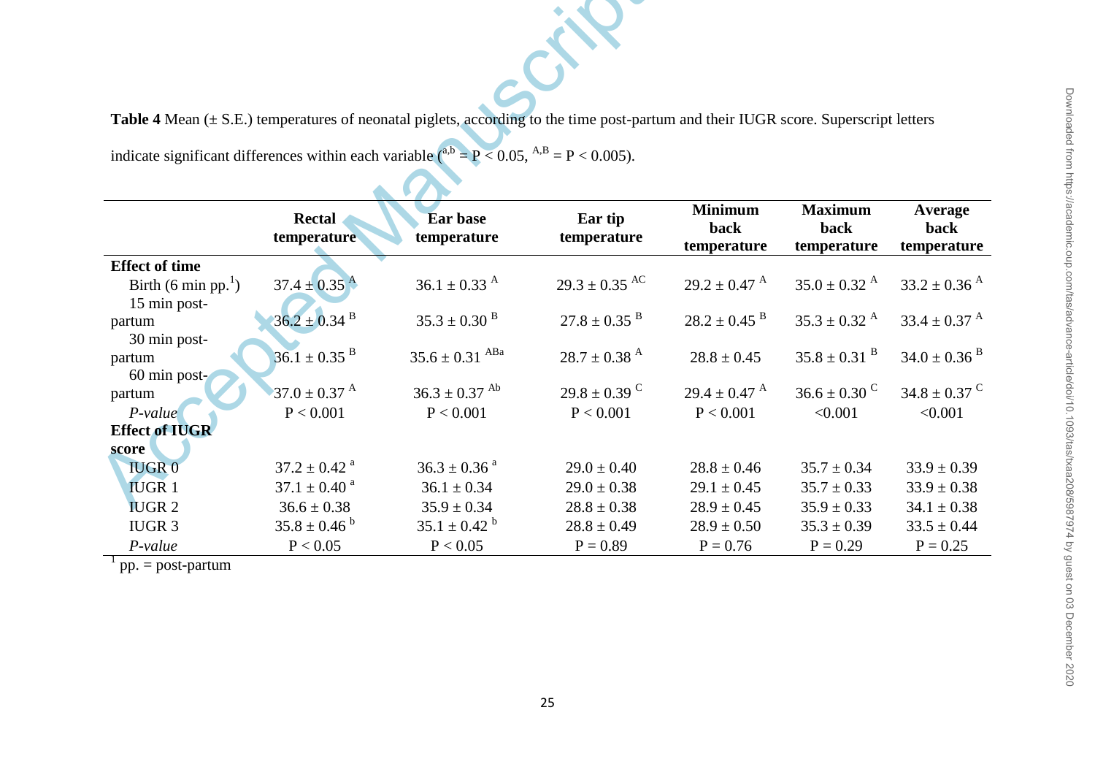|                               |                              | Table 4 Mean $(\pm S.E.)$ temperatures of neonatal piglets, according to the time post-partum and their IUGR score. Superscript letters |                              |                                       |                                       |                                       |
|-------------------------------|------------------------------|-----------------------------------------------------------------------------------------------------------------------------------------|------------------------------|---------------------------------------|---------------------------------------|---------------------------------------|
|                               |                              | indicate significant differences within each variable $\binom{a,b}{b} = P < 0.05$ , $\binom{A,B}{b} = P < 0.005$ .                      |                              |                                       |                                       |                                       |
|                               |                              |                                                                                                                                         |                              |                                       |                                       |                                       |
|                               | <b>Rectal</b><br>temperature | <b>Ear base</b><br>temperature                                                                                                          | Ear tip<br>temperature       | <b>Minimum</b><br>back<br>temperature | <b>Maximum</b><br>back<br>temperature | <b>Average</b><br>back<br>temperature |
| <b>Effect of time</b>         |                              |                                                                                                                                         |                              |                                       |                                       |                                       |
| Birth $(6 \text{ min pp.}^1)$ | $37.4 \pm 0.35$ <sup>A</sup> | $36.1 \pm 0.33$ <sup>A</sup>                                                                                                            | $29.3 \pm 0.35$ AC           | $29.2 \pm 0.47$ <sup>A</sup>          | $35.0 \pm 0.32$ <sup>A</sup>          | $33.2 \pm 0.36$ <sup>A</sup>          |
| 15 min post-<br>partum        | $36.2 \pm 0.34$ <sup>B</sup> | $35.3 \pm 0.30$ <sup>B</sup>                                                                                                            | $27.8 \pm 0.35$ <sup>B</sup> | $28.2 \pm 0.45$ $^{\text{B}}$         | $35.3 \pm 0.32$ <sup>A</sup>          | $33.4 \pm 0.37$ <sup>A</sup>          |
| 30 min post-                  |                              |                                                                                                                                         |                              |                                       |                                       |                                       |
| partum                        | $36.1 \pm 0.35$ <sup>B</sup> | $35.6 \pm 0.31$ ABa                                                                                                                     | $28.7 \pm 0.38$ <sup>A</sup> | $28.8 \pm 0.45$                       | $35.8 \pm 0.31$ <sup>B</sup>          | $34.0 \pm 0.36$ <sup>B</sup>          |
| 60 min post-<br>partum        | 37.0 $\pm$ 0.37 <sup>A</sup> | $36.3 \pm 0.37$ <sup>Ab</sup>                                                                                                           | $29.8 \pm 0.39$ <sup>C</sup> | $29.4 \pm 0.47$ <sup>A</sup>          | $36.6 \pm 0.30$ <sup>C</sup>          | $34.8 \pm 0.37$ <sup>C</sup>          |
| $P-value$                     | P < 0.001                    | P < 0.001                                                                                                                               | P < 0.001                    | P < 0.001                             | < 0.001                               | < 0.001                               |
| <b>Effect of IUGR</b>         |                              |                                                                                                                                         |                              |                                       |                                       |                                       |
| score                         |                              |                                                                                                                                         |                              |                                       |                                       |                                       |
| <b>IUGR0</b>                  | $37.2 \pm 0.42$ <sup>a</sup> | $36.3 \pm 0.36$ <sup>a</sup>                                                                                                            | $29.0 \pm 0.40$              | $28.8 \pm 0.46$                       | $35.7 \pm 0.34$                       | $33.9 \pm 0.39$                       |
| <b>IUGR1</b>                  | $37.1 \pm 0.40$ <sup>a</sup> | $36.1 \pm 0.34$                                                                                                                         | $29.0 \pm 0.38$              | $29.1 \pm 0.45$                       | $35.7 \pm 0.33$                       | $33.9 \pm 0.38$                       |
| <b>IUGR2</b>                  | $36.6\pm0.38$                | $35.9\pm0.34$                                                                                                                           | $28.8 \pm 0.38$              | $28.9 \pm 0.45$                       | $35.9 \pm 0.33$                       | $34.1 \pm 0.38$                       |
| <b>IUGR 3</b>                 | $35.8 \pm 0.46^{\circ}$      | $35.1 \pm 0.42^{\circ}$                                                                                                                 | $28.8 \pm 0.49$              | $28.9 \pm 0.50$                       | $35.3 \pm 0.39$                       | $33.5 \pm 0.44$                       |
| P-value                       | P < 0.05                     | P < 0.05                                                                                                                                | $P = 0.89$                   | $P = 0.76$                            | $P = 0.29$                            | $P = 0.25$                            |

 $1$  pp. = post-partum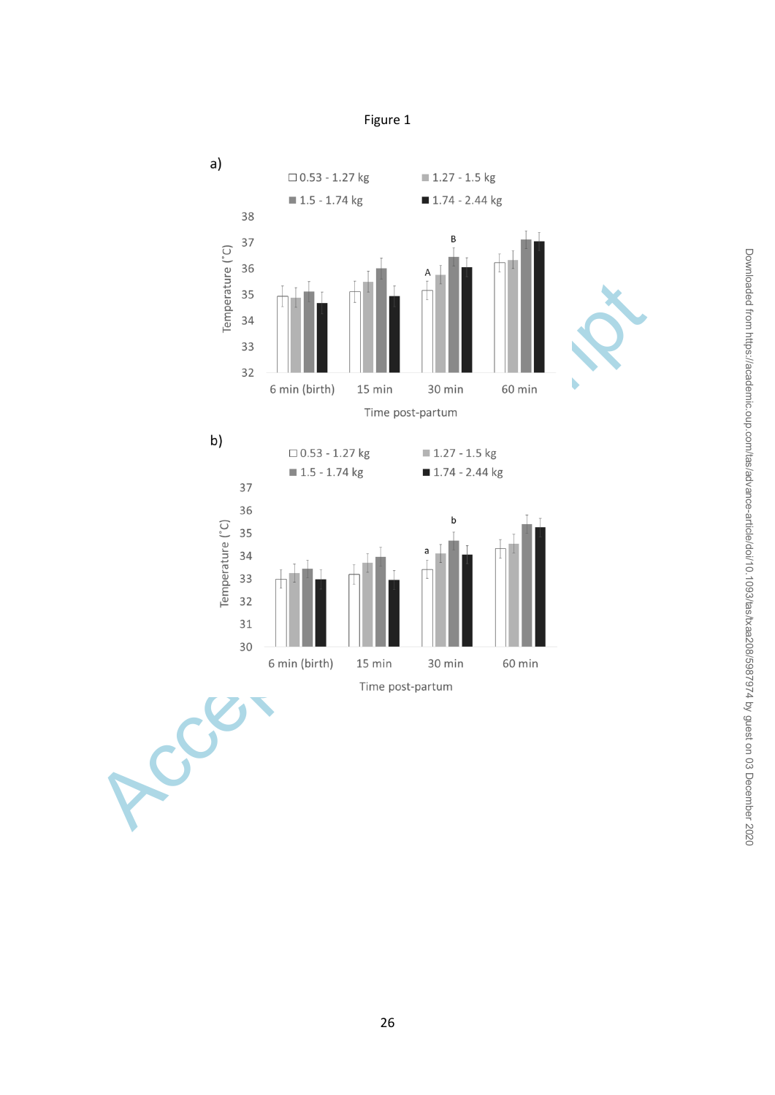

Figure 1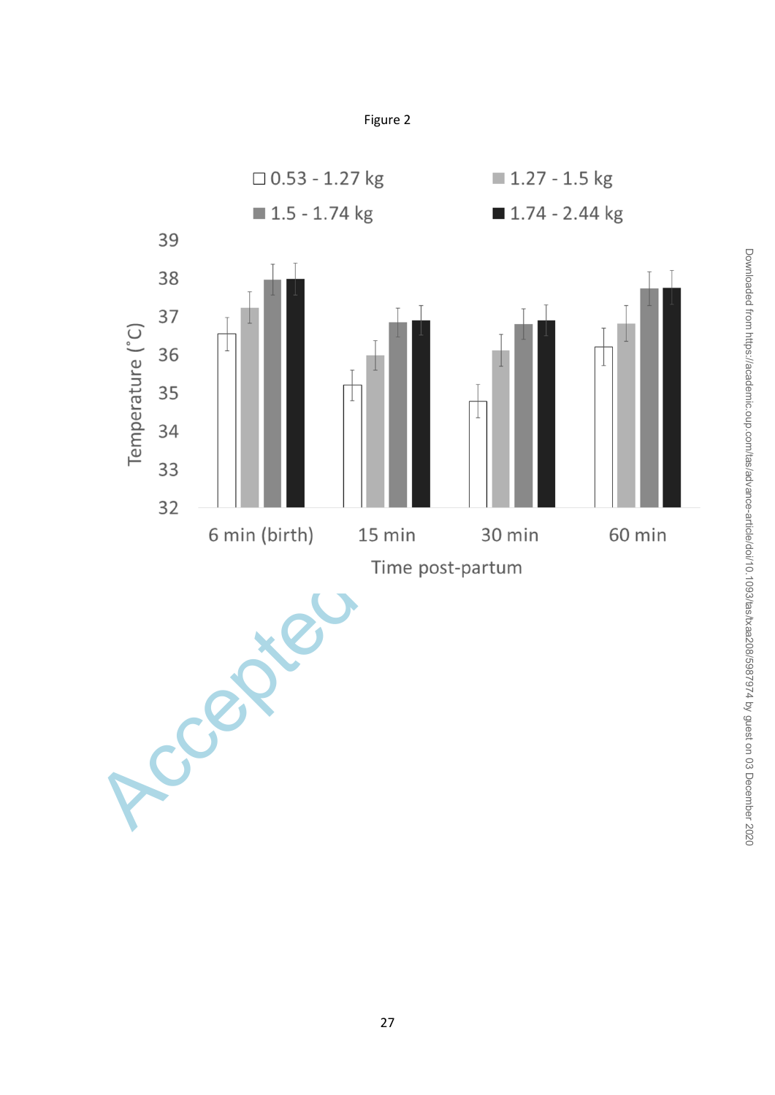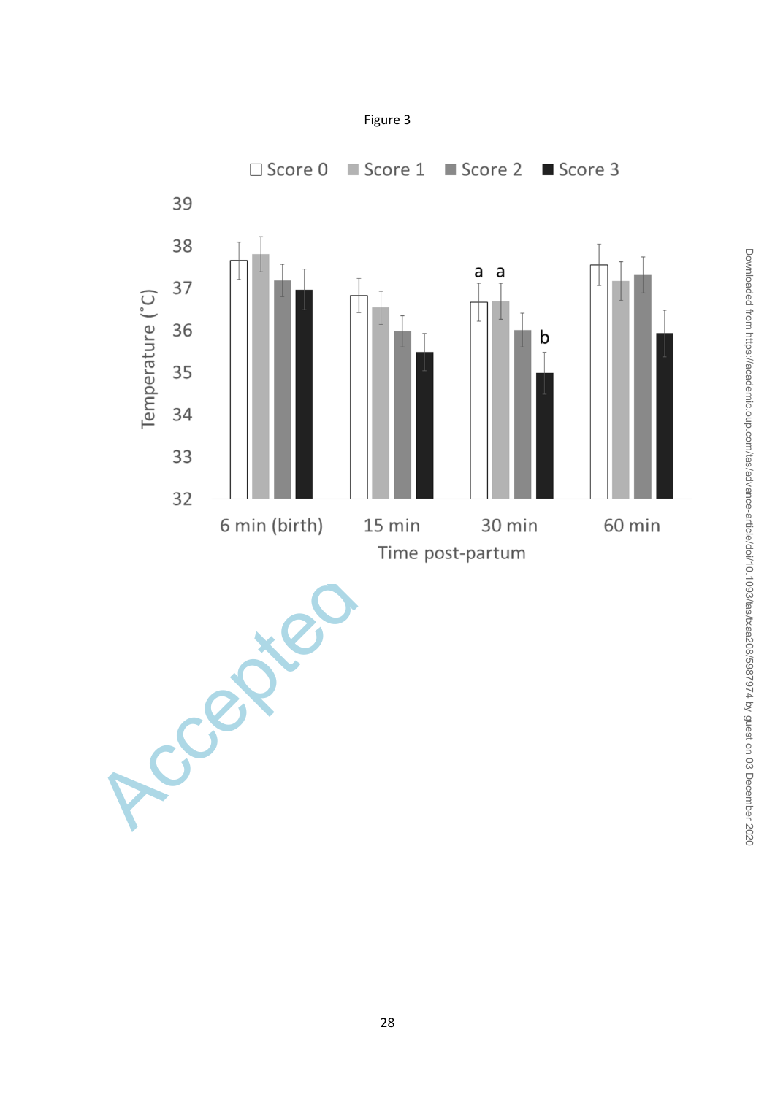

Downloaded from https://academic.oup.com/tas/advance-article/doi/10.1093/tas/txaa208/5987974 by guest on 03 December 2020 Downloaded from https://academic.oup.com/tas/advance-article/doi/10.1093/tas/txaa208/5987974 by guest on 03 December 2020